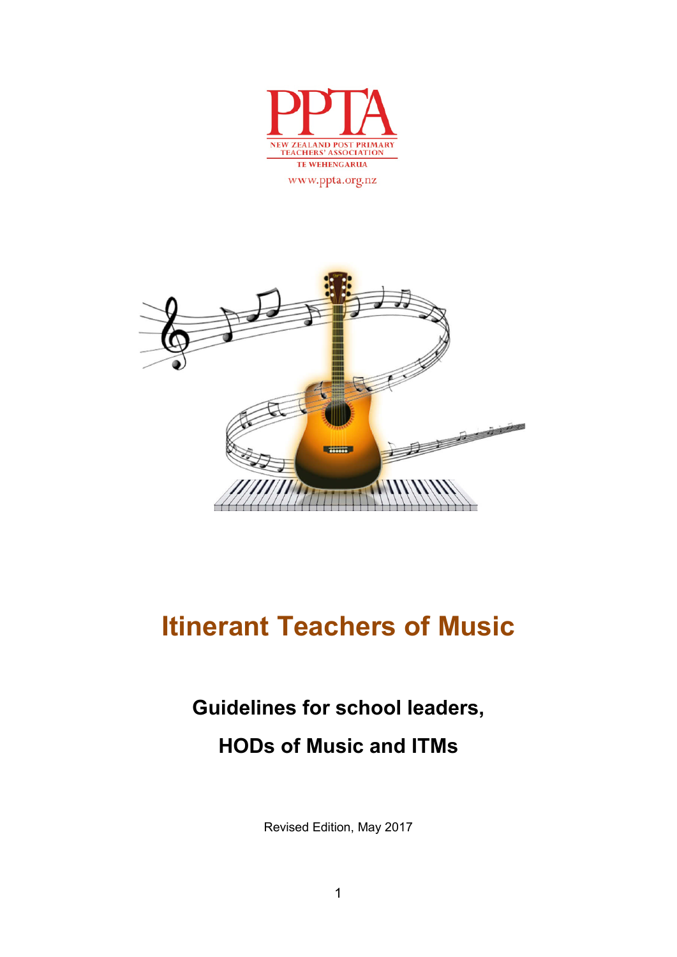



## **Itinerant Teachers of Music**

# **Guidelines for school leaders, HODs of Music and ITMs**

Revised Edition, May 2017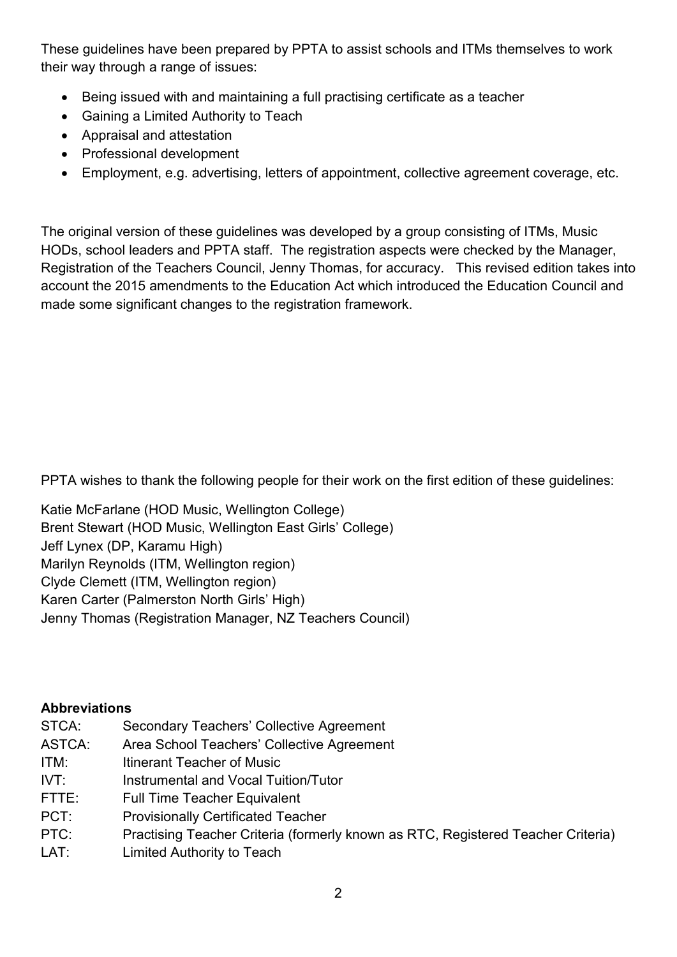These guidelines have been prepared by PPTA to assist schools and ITMs themselves to work their way through a range of issues:

- Being issued with and maintaining a full practising certificate as a teacher
- Gaining a Limited Authority to Teach
- Appraisal and attestation
- Professional development
- Employment, e.g. advertising, letters of appointment, collective agreement coverage, etc.

The original version of these guidelines was developed by a group consisting of ITMs, Music HODs, school leaders and PPTA staff. The registration aspects were checked by the Manager, Registration of the Teachers Council, Jenny Thomas, for accuracy. This revised edition takes into account the 2015 amendments to the Education Act which introduced the Education Council and made some significant changes to the registration framework.

PPTA wishes to thank the following people for their work on the first edition of these guidelines:

Katie McFarlane (HOD Music, Wellington College) Brent Stewart (HOD Music, Wellington East Girls' College) Jeff Lynex (DP, Karamu High) Marilyn Reynolds (ITM, Wellington region) Clyde Clemett (ITM, Wellington region) Karen Carter (Palmerston North Girls' High) Jenny Thomas (Registration Manager, NZ Teachers Council)

#### **Abbreviations**

- STCA: Secondary Teachers' Collective Agreement
- ASTCA: Area School Teachers' Collective Agreement
- ITM: Itinerant Teacher of Music
- IVT: Instrumental and Vocal Tuition/Tutor
- FTTE: Full Time Teacher Equivalent
- PCT: Provisionally Certificated Teacher
- PTC: Practising Teacher Criteria (formerly known as RTC, Registered Teacher Criteria)
- LAT: Limited Authority to Teach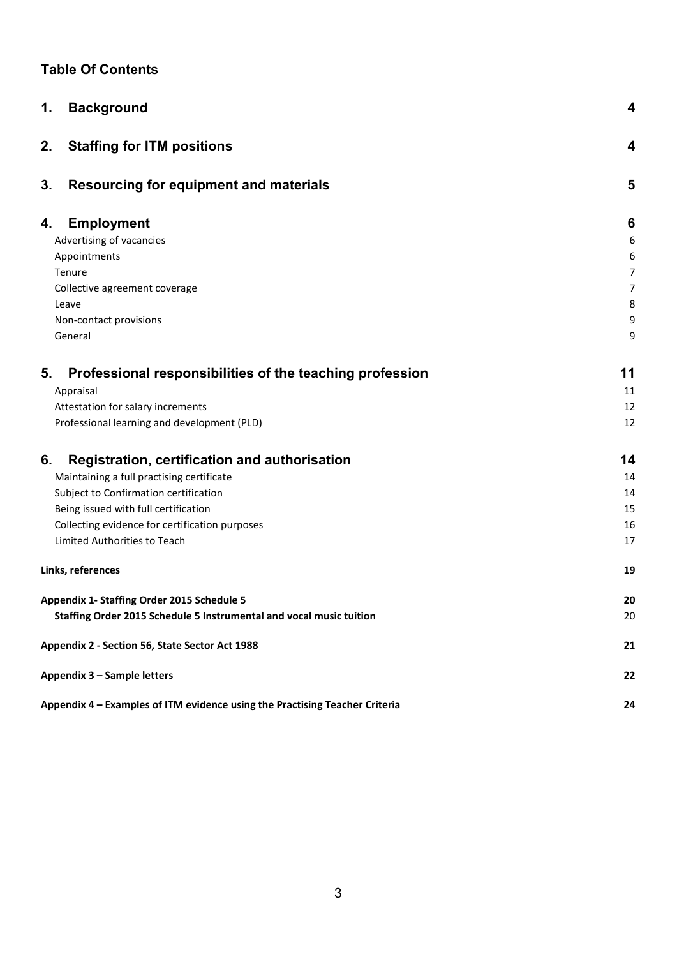### **Table Of Contents**

| <b>Background</b><br>1.                                                     | 4  |
|-----------------------------------------------------------------------------|----|
| 2.<br><b>Staffing for ITM positions</b>                                     | 4  |
| <b>Resourcing for equipment and materials</b><br>3.                         | 5  |
| <b>Employment</b><br>4.                                                     | 6  |
| Advertising of vacancies                                                    | 6  |
| Appointments                                                                | 6  |
| Tenure                                                                      | 7  |
| Collective agreement coverage                                               | 7  |
| Leave                                                                       | 8  |
| Non-contact provisions                                                      | 9  |
| General                                                                     | 9  |
| Professional responsibilities of the teaching profession<br>5.              | 11 |
| Appraisal                                                                   | 11 |
| Attestation for salary increments                                           | 12 |
| Professional learning and development (PLD)                                 | 12 |
| Registration, certification and authorisation<br>6.                         | 14 |
| Maintaining a full practising certificate                                   | 14 |
| Subject to Confirmation certification                                       | 14 |
| Being issued with full certification                                        | 15 |
| Collecting evidence for certification purposes                              | 16 |
| Limited Authorities to Teach                                                | 17 |
| Links, references                                                           | 19 |
| Appendix 1- Staffing Order 2015 Schedule 5                                  | 20 |
| Staffing Order 2015 Schedule 5 Instrumental and vocal music tuition         | 20 |
| Appendix 2 - Section 56, State Sector Act 1988                              | 21 |
| Appendix 3 - Sample letters                                                 | 22 |
| Appendix 4 - Examples of ITM evidence using the Practising Teacher Criteria | 24 |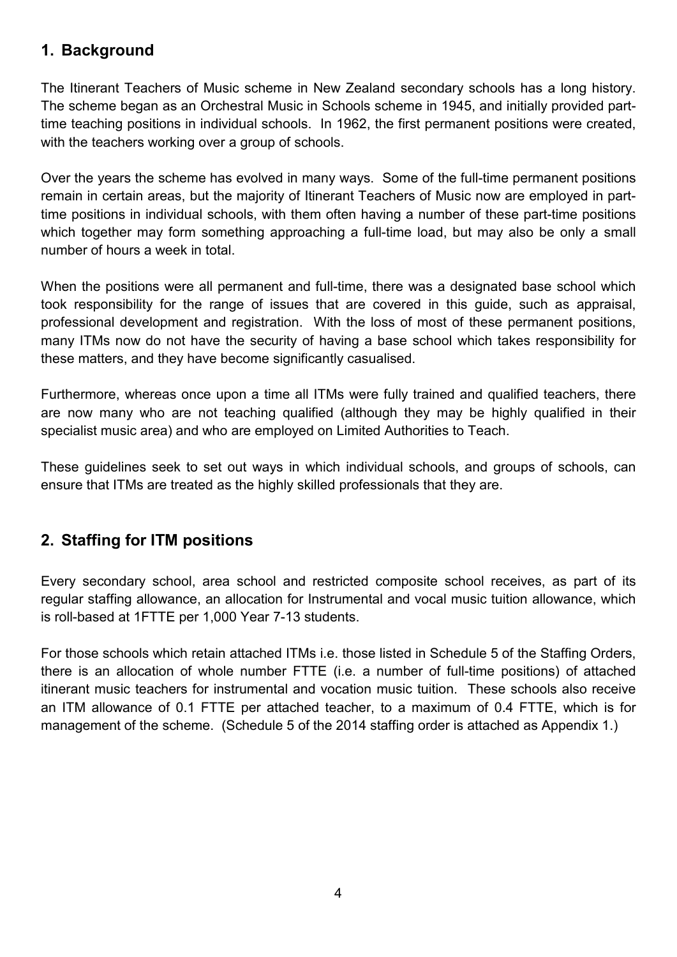### <span id="page-3-0"></span>**1. Background**

The Itinerant Teachers of Music scheme in New Zealand secondary schools has a long history. The scheme began as an Orchestral Music in Schools scheme in 1945, and initially provided parttime teaching positions in individual schools. In 1962, the first permanent positions were created, with the teachers working over a group of schools.

Over the years the scheme has evolved in many ways. Some of the full-time permanent positions remain in certain areas, but the majority of Itinerant Teachers of Music now are employed in parttime positions in individual schools, with them often having a number of these part-time positions which together may form something approaching a full-time load, but may also be only a small number of hours a week in total.

When the positions were all permanent and full-time, there was a designated base school which took responsibility for the range of issues that are covered in this guide, such as appraisal, professional development and registration. With the loss of most of these permanent positions, many ITMs now do not have the security of having a base school which takes responsibility for these matters, and they have become significantly casualised.

Furthermore, whereas once upon a time all ITMs were fully trained and qualified teachers, there are now many who are not teaching qualified (although they may be highly qualified in their specialist music area) and who are employed on Limited Authorities to Teach.

These guidelines seek to set out ways in which individual schools, and groups of schools, can ensure that ITMs are treated as the highly skilled professionals that they are.

### <span id="page-3-1"></span>**2. Staffing for ITM positions**

Every secondary school, area school and restricted composite school receives, as part of its regular staffing allowance, an allocation for Instrumental and vocal music tuition allowance, which is roll-based at 1FTTE per 1,000 Year 7-13 students.

For those schools which retain attached ITMs i.e. those listed in Schedule 5 of the Staffing Orders, there is an allocation of whole number FTTE (i.e. a number of full-time positions) of attached itinerant music teachers for instrumental and vocation music tuition. These schools also receive an ITM allowance of 0.1 FTTE per attached teacher, to a maximum of 0.4 FTTE, which is for management of the scheme. (Schedule 5 of the 2014 staffing order is attached as Appendix 1.)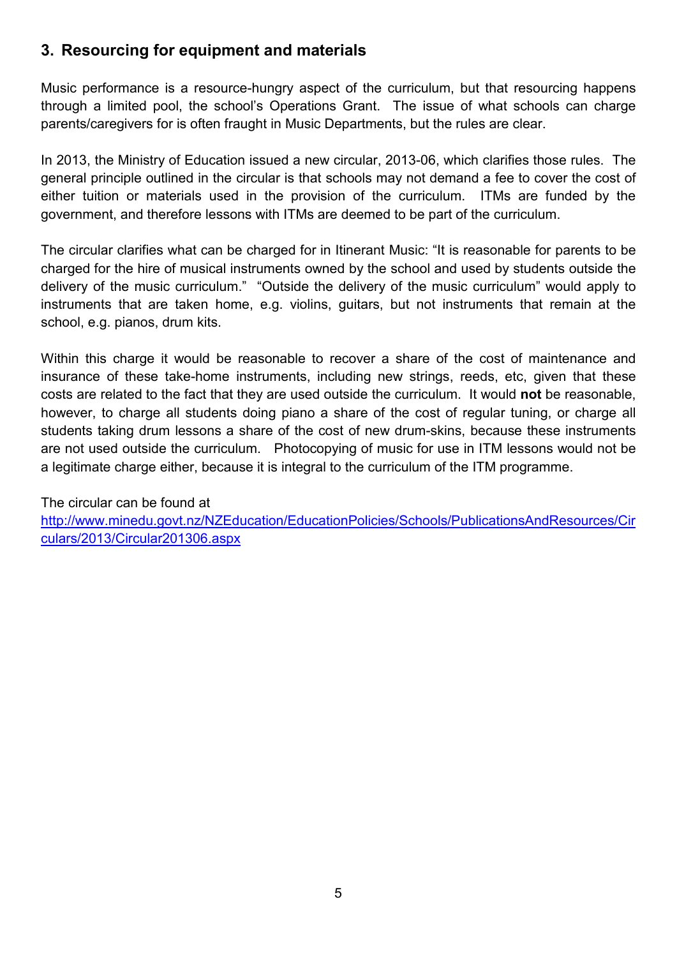### <span id="page-4-0"></span>**3. Resourcing for equipment and materials**

Music performance is a resource-hungry aspect of the curriculum, but that resourcing happens through a limited pool, the school's Operations Grant. The issue of what schools can charge parents/caregivers for is often fraught in Music Departments, but the rules are clear.

In 2013, the Ministry of Education issued a new circular, 2013-06, which clarifies those rules. The general principle outlined in the circular is that schools may not demand a fee to cover the cost of either tuition or materials used in the provision of the curriculum. ITMs are funded by the government, and therefore lessons with ITMs are deemed to be part of the curriculum.

The circular clarifies what can be charged for in Itinerant Music: "It is reasonable for parents to be charged for the hire of musical instruments owned by the school and used by students outside the delivery of the music curriculum." "Outside the delivery of the music curriculum" would apply to instruments that are taken home, e.g. violins, guitars, but not instruments that remain at the school, e.g. pianos, drum kits.

Within this charge it would be reasonable to recover a share of the cost of maintenance and insurance of these take-home instruments, including new strings, reeds, etc, given that these costs are related to the fact that they are used outside the curriculum. It would **not** be reasonable, however, to charge all students doing piano a share of the cost of regular tuning, or charge all students taking drum lessons a share of the cost of new drum-skins, because these instruments are not used outside the curriculum. Photocopying of music for use in ITM lessons would not be a legitimate charge either, because it is integral to the curriculum of the ITM programme.

The circular can be found at [http://www.minedu.govt.nz/NZEducation/EducationPolicies/Schools/PublicationsAndResources/Cir](http://www.minedu.govt.nz/NZEducation/EducationPolicies/Schools/PublicationsAndResources/Circulars/2013/Circular201306.aspx) [culars/2013/Circular201306.aspx](http://www.minedu.govt.nz/NZEducation/EducationPolicies/Schools/PublicationsAndResources/Circulars/2013/Circular201306.aspx)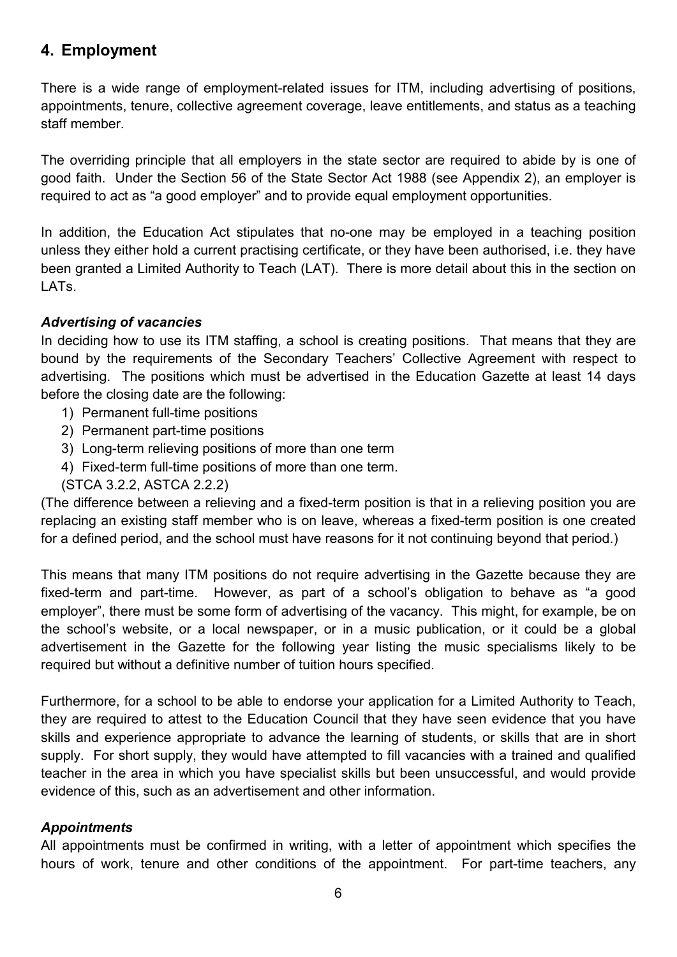### <span id="page-5-0"></span>**4. Employment**

There is a wide range of employment-related issues for ITM, including advertising of positions, appointments, tenure, collective agreement coverage, leave entitlements, and status as a teaching staff member.

The overriding principle that all employers in the state sector are required to abide by is one of good faith. Under the Section 56 of the State Sector Act 1988 (see Appendix 2), an employer is required to act as "a good employer" and to provide equal employment opportunities.

In addition, the Education Act stipulates that no-one may be employed in a teaching position unless they either hold a current practising certificate, or they have been authorised, i.e. they have been granted a Limited Authority to Teach (LAT). There is more detail about this in the section on LATs.

### <span id="page-5-1"></span>*Advertising of vacancies*

In deciding how to use its ITM staffing, a school is creating positions. That means that they are bound by the requirements of the Secondary Teachers' Collective Agreement with respect to advertising. The positions which must be advertised in the Education Gazette at least 14 days before the closing date are the following:

- 1) Permanent full-time positions
- 2) Permanent part-time positions
- 3) Long-term relieving positions of more than one term
- 4) Fixed-term full-time positions of more than one term.
- (STCA 3.2.2, ASTCA 2.2.2)

(The difference between a relieving and a fixed-term position is that in a relieving position you are replacing an existing staff member who is on leave, whereas a fixed-term position is one created for a defined period, and the school must have reasons for it not continuing beyond that period.)

This means that many ITM positions do not require advertising in the Gazette because they are fixed-term and part-time. However, as part of a school's obligation to behave as "a good employer", there must be some form of advertising of the vacancy. This might, for example, be on the school's website, or a local newspaper, or in a music publication, or it could be a global advertisement in the Gazette for the following year listing the music specialisms likely to be required but without a definitive number of tuition hours specified.

Furthermore, for a school to be able to endorse your application for a Limited Authority to Teach, they are required to attest to the Education Council that they have seen evidence that you have skills and experience appropriate to advance the learning of students, or skills that are in short supply. For short supply, they would have attempted to fill vacancies with a trained and qualified teacher in the area in which you have specialist skills but been unsuccessful, and would provide evidence of this, such as an advertisement and other information.

### <span id="page-5-2"></span>*Appointments*

All appointments must be confirmed in writing, with a letter of appointment which specifies the hours of work, tenure and other conditions of the appointment. For part-time teachers, any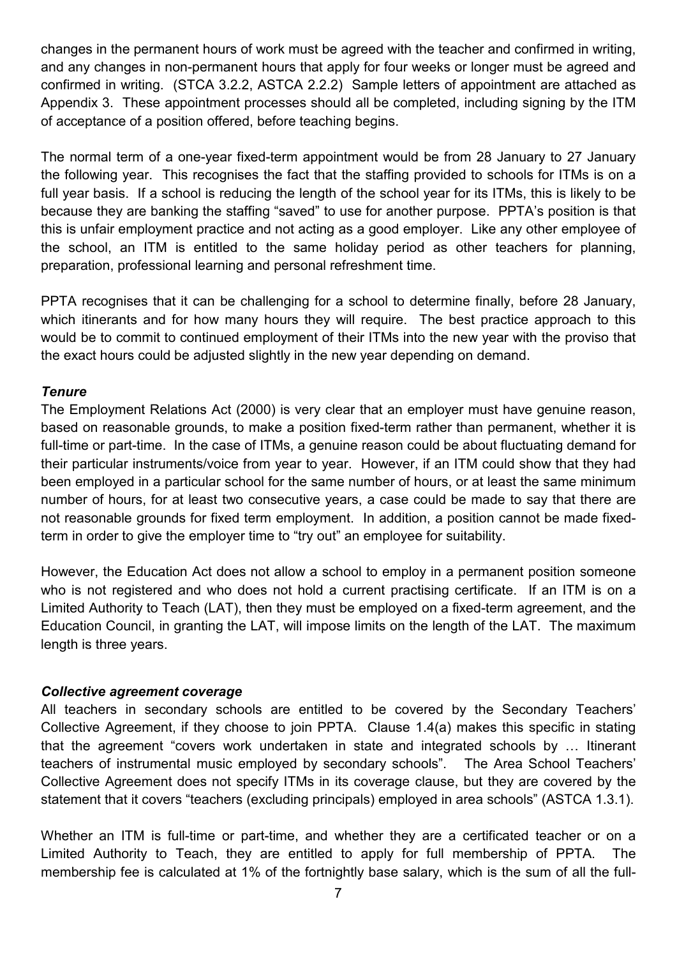changes in the permanent hours of work must be agreed with the teacher and confirmed in writing, and any changes in non-permanent hours that apply for four weeks or longer must be agreed and confirmed in writing. (STCA 3.2.2, ASTCA 2.2.2) Sample letters of appointment are attached as Appendix 3. These appointment processes should all be completed, including signing by the ITM of acceptance of a position offered, before teaching begins.

The normal term of a one-year fixed-term appointment would be from 28 January to 27 January the following year. This recognises the fact that the staffing provided to schools for ITMs is on a full year basis. If a school is reducing the length of the school year for its ITMs, this is likely to be because they are banking the staffing "saved" to use for another purpose. PPTA's position is that this is unfair employment practice and not acting as a good employer. Like any other employee of the school, an ITM is entitled to the same holiday period as other teachers for planning, preparation, professional learning and personal refreshment time.

PPTA recognises that it can be challenging for a school to determine finally, before 28 January, which itinerants and for how many hours they will require. The best practice approach to this would be to commit to continued employment of their ITMs into the new year with the proviso that the exact hours could be adjusted slightly in the new year depending on demand.

#### <span id="page-6-0"></span>*Tenure*

The Employment Relations Act (2000) is very clear that an employer must have genuine reason, based on reasonable grounds, to make a position fixed-term rather than permanent, whether it is full-time or part-time. In the case of ITMs, a genuine reason could be about fluctuating demand for their particular instruments/voice from year to year. However, if an ITM could show that they had been employed in a particular school for the same number of hours, or at least the same minimum number of hours, for at least two consecutive years, a case could be made to say that there are not reasonable grounds for fixed term employment. In addition, a position cannot be made fixedterm in order to give the employer time to "try out" an employee for suitability.

However, the Education Act does not allow a school to employ in a permanent position someone who is not registered and who does not hold a current practising certificate. If an ITM is on a Limited Authority to Teach (LAT), then they must be employed on a fixed-term agreement, and the Education Council, in granting the LAT, will impose limits on the length of the LAT. The maximum length is three years.

#### <span id="page-6-1"></span>*Collective agreement coverage*

All teachers in secondary schools are entitled to be covered by the Secondary Teachers' Collective Agreement, if they choose to join PPTA. Clause 1.4(a) makes this specific in stating that the agreement "covers work undertaken in state and integrated schools by … Itinerant teachers of instrumental music employed by secondary schools". The Area School Teachers' Collective Agreement does not specify ITMs in its coverage clause, but they are covered by the statement that it covers "teachers (excluding principals) employed in area schools" (ASTCA 1.3.1).

Whether an ITM is full-time or part-time, and whether they are a certificated teacher or on a Limited Authority to Teach, they are entitled to apply for full membership of PPTA. The membership fee is calculated at 1% of the fortnightly base salary, which is the sum of all the full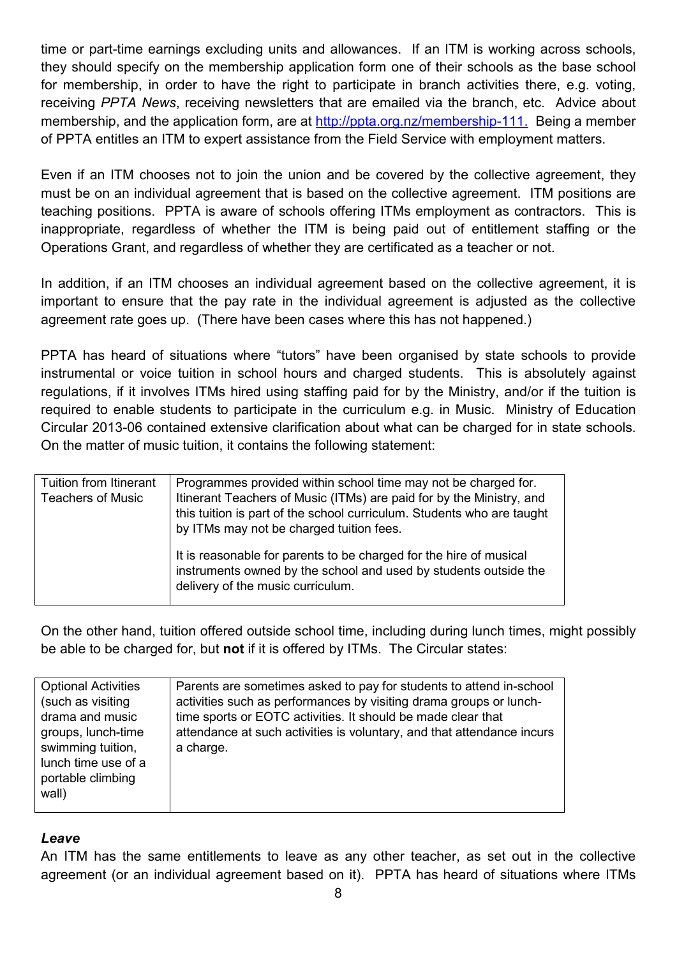time or part-time earnings excluding units and allowances. If an ITM is working across schools, they should specify on the membership application form one of their schools as the base school for membership, in order to have the right to participate in branch activities there, e.g. voting, receiving *PPTA News*, receiving newsletters that are emailed via the branch, etc. Advice about membership, and the application form, are at [http://ppta.org.nz/membership-111.](http://ppta.org.nz/membership-111) Being a member of PPTA entitles an ITM to expert assistance from the Field Service with employment matters.

Even if an ITM chooses not to join the union and be covered by the collective agreement, they must be on an individual agreement that is based on the collective agreement. ITM positions are teaching positions. PPTA is aware of schools offering ITMs employment as contractors. This is inappropriate, regardless of whether the ITM is being paid out of entitlement staffing or the Operations Grant, and regardless of whether they are certificated as a teacher or not.

In addition, if an ITM chooses an individual agreement based on the collective agreement, it is important to ensure that the pay rate in the individual agreement is adjusted as the collective agreement rate goes up. (There have been cases where this has not happened.)

PPTA has heard of situations where "tutors" have been organised by state schools to provide instrumental or voice tuition in school hours and charged students. This is absolutely against regulations, if it involves ITMs hired using staffing paid for by the Ministry, and/or if the tuition is required to enable students to participate in the curriculum e.g. in Music. Ministry of Education Circular 2013-06 contained extensive clarification about what can be charged for in state schools. On the matter of music tuition, it contains the following statement:

| Tuition from Itinerant<br><b>Teachers of Music</b> | Programmes provided within school time may not be charged for.<br>Itinerant Teachers of Music (ITMs) are paid for by the Ministry, and<br>this tuition is part of the school curriculum. Students who are taught<br>by ITMs may not be charged tuition fees. |
|----------------------------------------------------|--------------------------------------------------------------------------------------------------------------------------------------------------------------------------------------------------------------------------------------------------------------|
|                                                    | It is reasonable for parents to be charged for the hire of musical<br>instruments owned by the school and used by students outside the<br>delivery of the music curriculum.                                                                                  |

On the other hand, tuition offered outside school time, including during lunch times, might possibly be able to be charged for, but **not** if it is offered by ITMs. The Circular states:

### <span id="page-7-0"></span>*Leave*

An ITM has the same entitlements to leave as any other teacher, as set out in the collective agreement (or an individual agreement based on it). PPTA has heard of situations where ITMs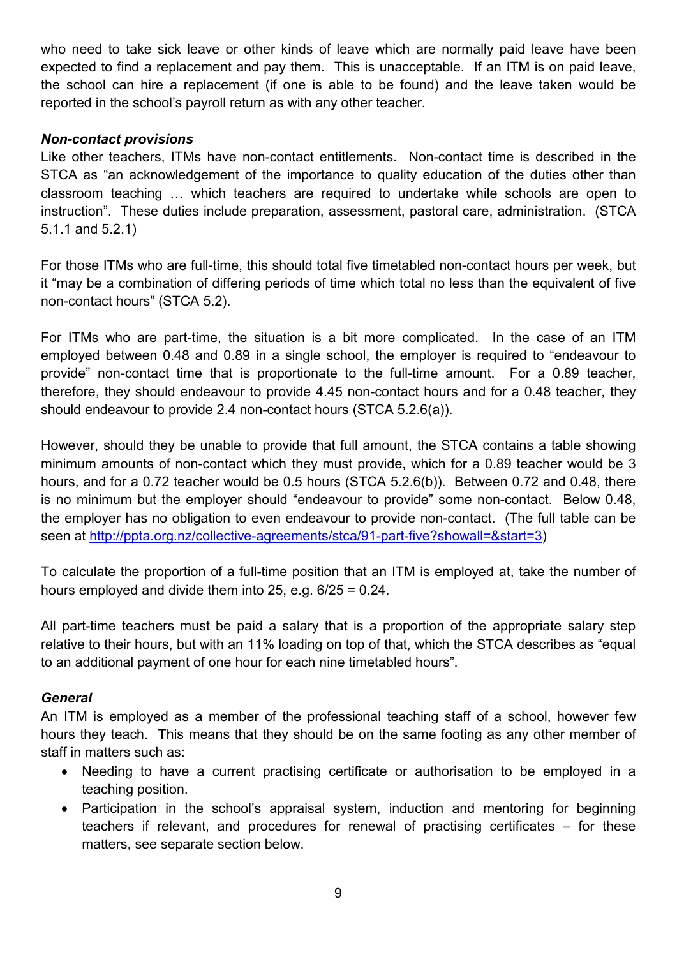who need to take sick leave or other kinds of leave which are normally paid leave have been expected to find a replacement and pay them. This is unacceptable. If an ITM is on paid leave, the school can hire a replacement (if one is able to be found) and the leave taken would be reported in the school's payroll return as with any other teacher.

### <span id="page-8-0"></span>*Non-contact provisions*

Like other teachers, ITMs have non-contact entitlements. Non-contact time is described in the STCA as "an acknowledgement of the importance to quality education of the duties other than classroom teaching … which teachers are required to undertake while schools are open to instruction". These duties include preparation, assessment, pastoral care, administration. (STCA 5.1.1 and 5.2.1)

For those ITMs who are full-time, this should total five timetabled non-contact hours per week, but it "may be a combination of differing periods of time which total no less than the equivalent of five non-contact hours" (STCA 5.2).

For ITMs who are part-time, the situation is a bit more complicated. In the case of an ITM employed between 0.48 and 0.89 in a single school, the employer is required to "endeavour to provide" non-contact time that is proportionate to the full-time amount. For a 0.89 teacher, therefore, they should endeavour to provide 4.45 non-contact hours and for a 0.48 teacher, they should endeavour to provide 2.4 non-contact hours (STCA 5.2.6(a)).

However, should they be unable to provide that full amount, the STCA contains a table showing minimum amounts of non-contact which they must provide, which for a 0.89 teacher would be 3 hours, and for a 0.72 teacher would be 0.5 hours (STCA 5.2.6(b)). Between 0.72 and 0.48, there is no minimum but the employer should "endeavour to provide" some non-contact. Below 0.48, the employer has no obligation to even endeavour to provide non-contact. (The full table can be seen at [http://ppta.org.nz/collective-agreements/stca/91-part-five?showall=&start=3\)](http://ppta.org.nz/collective-agreements/stca/91-part-five?showall=&start=3)

To calculate the proportion of a full-time position that an ITM is employed at, take the number of hours employed and divide them into 25, e.g. 6/25 = 0.24.

All part-time teachers must be paid a salary that is a proportion of the appropriate salary step relative to their hours, but with an 11% loading on top of that, which the STCA describes as "equal to an additional payment of one hour for each nine timetabled hours".

#### <span id="page-8-1"></span>*General*

An ITM is employed as a member of the professional teaching staff of a school, however few hours they teach. This means that they should be on the same footing as any other member of staff in matters such as:

- Needing to have a current practising certificate or authorisation to be employed in a teaching position.
- Participation in the school's appraisal system, induction and mentoring for beginning teachers if relevant, and procedures for renewal of practising certificates – for these matters, see separate section below.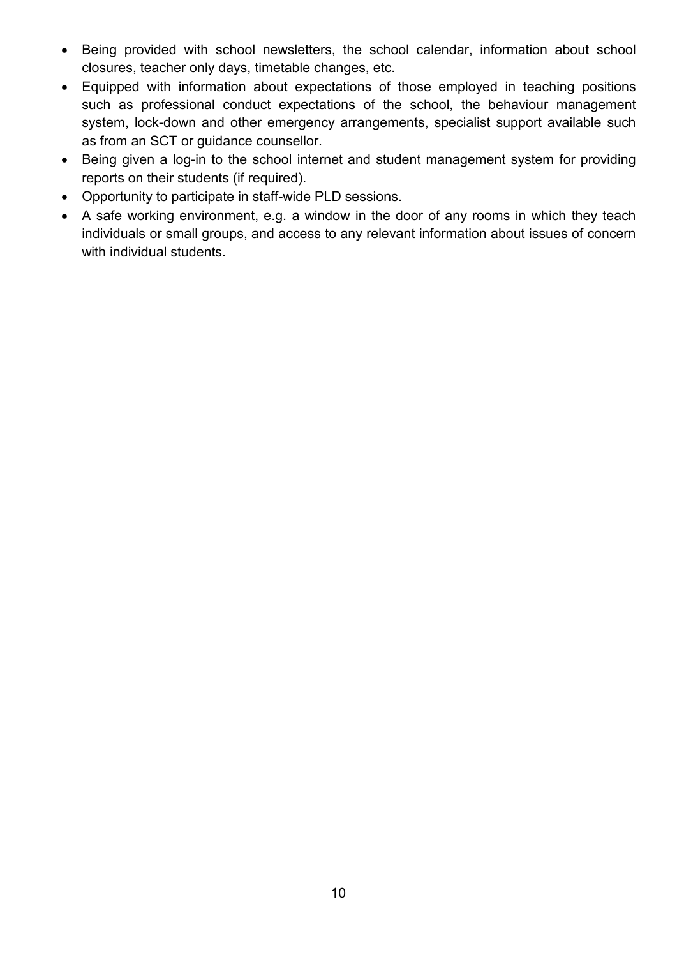- Being provided with school newsletters, the school calendar, information about school closures, teacher only days, timetable changes, etc.
- Equipped with information about expectations of those employed in teaching positions such as professional conduct expectations of the school, the behaviour management system, lock-down and other emergency arrangements, specialist support available such as from an SCT or guidance counsellor.
- Being given a log-in to the school internet and student management system for providing reports on their students (if required).
- Opportunity to participate in staff-wide PLD sessions.
- A safe working environment, e.g. a window in the door of any rooms in which they teach individuals or small groups, and access to any relevant information about issues of concern with individual students.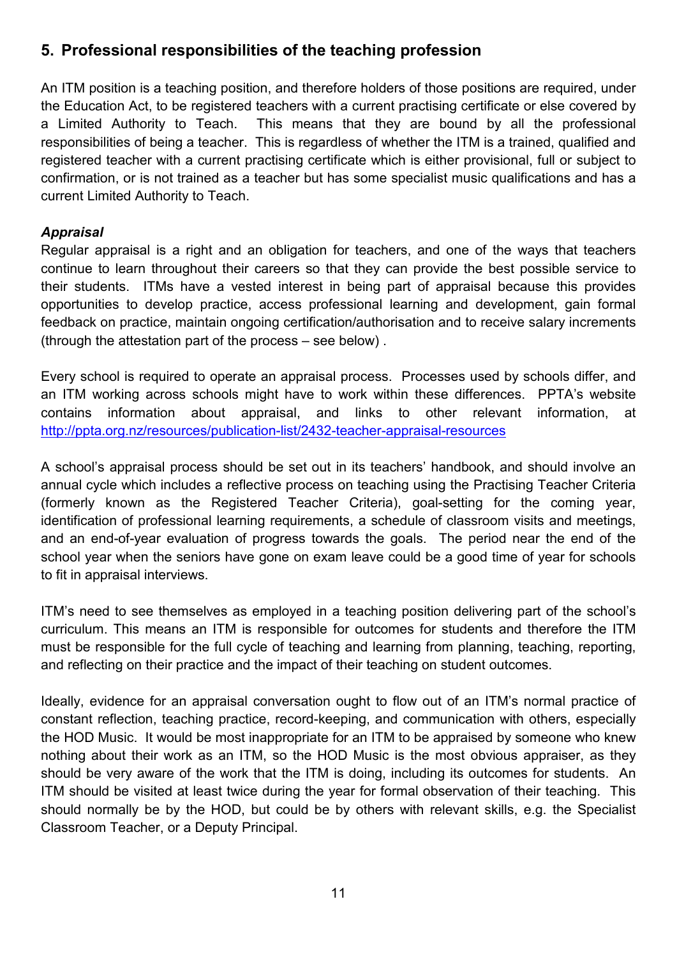### <span id="page-10-0"></span>**5. Professional responsibilities of the teaching profession**

An ITM position is a teaching position, and therefore holders of those positions are required, under the Education Act, to be registered teachers with a current practising certificate or else covered by a Limited Authority to Teach. This means that they are bound by all the professional responsibilities of being a teacher. This is regardless of whether the ITM is a trained, qualified and registered teacher with a current practising certificate which is either provisional, full or subject to confirmation, or is not trained as a teacher but has some specialist music qualifications and has a current Limited Authority to Teach.

### <span id="page-10-1"></span>*Appraisal*

Regular appraisal is a right and an obligation for teachers, and one of the ways that teachers continue to learn throughout their careers so that they can provide the best possible service to their students. ITMs have a vested interest in being part of appraisal because this provides opportunities to develop practice, access professional learning and development, gain formal feedback on practice, maintain ongoing certification/authorisation and to receive salary increments (through the attestation part of the process – see below) .

Every school is required to operate an appraisal process. Processes used by schools differ, and an ITM working across schools might have to work within these differences. PPTA's website contains information about appraisal, and links to other relevant information, at <http://ppta.org.nz/resources/publication-list/2432-teacher-appraisal-resources>

A school's appraisal process should be set out in its teachers' handbook, and should involve an annual cycle which includes a reflective process on teaching using the Practising Teacher Criteria (formerly known as the Registered Teacher Criteria), goal-setting for the coming year, identification of professional learning requirements, a schedule of classroom visits and meetings, and an end-of-year evaluation of progress towards the goals. The period near the end of the school year when the seniors have gone on exam leave could be a good time of year for schools to fit in appraisal interviews.

ITM's need to see themselves as employed in a teaching position delivering part of the school's curriculum. This means an ITM is responsible for outcomes for students and therefore the ITM must be responsible for the full cycle of teaching and learning from planning, teaching, reporting, and reflecting on their practice and the impact of their teaching on student outcomes.

Ideally, evidence for an appraisal conversation ought to flow out of an ITM's normal practice of constant reflection, teaching practice, record-keeping, and communication with others, especially the HOD Music. It would be most inappropriate for an ITM to be appraised by someone who knew nothing about their work as an ITM, so the HOD Music is the most obvious appraiser, as they should be very aware of the work that the ITM is doing, including its outcomes for students. An ITM should be visited at least twice during the year for formal observation of their teaching. This should normally be by the HOD, but could be by others with relevant skills, e.g. the Specialist Classroom Teacher, or a Deputy Principal.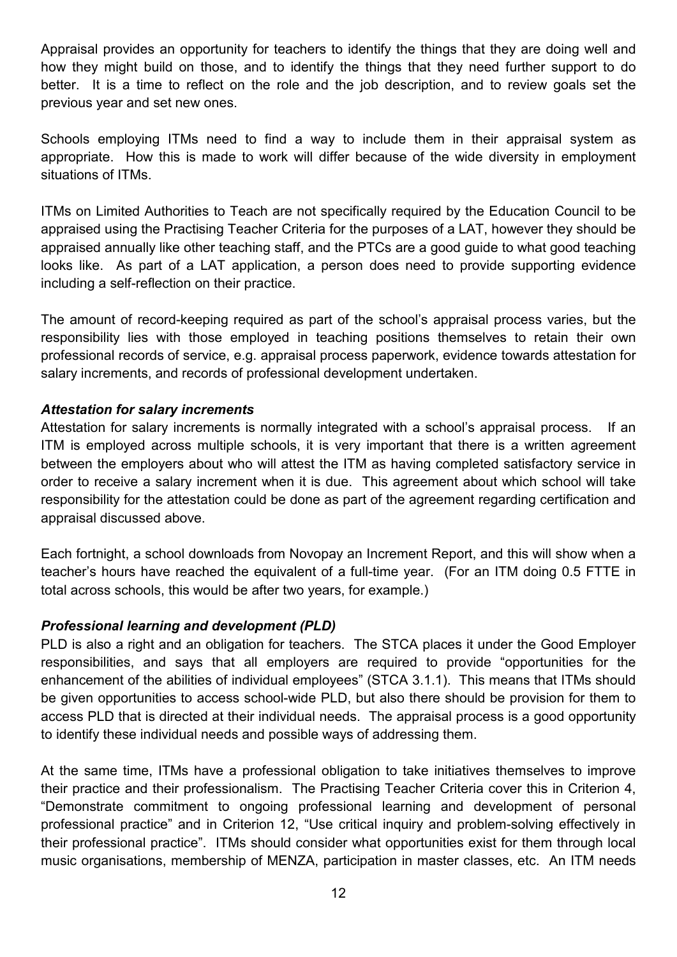Appraisal provides an opportunity for teachers to identify the things that they are doing well and how they might build on those, and to identify the things that they need further support to do better. It is a time to reflect on the role and the job description, and to review goals set the previous year and set new ones.

Schools employing ITMs need to find a way to include them in their appraisal system as appropriate. How this is made to work will differ because of the wide diversity in employment situations of ITMs.

ITMs on Limited Authorities to Teach are not specifically required by the Education Council to be appraised using the Practising Teacher Criteria for the purposes of a LAT, however they should be appraised annually like other teaching staff, and the PTCs are a good guide to what good teaching looks like. As part of a LAT application, a person does need to provide supporting evidence including a self-reflection on their practice.

The amount of record-keeping required as part of the school's appraisal process varies, but the responsibility lies with those employed in teaching positions themselves to retain their own professional records of service, e.g. appraisal process paperwork, evidence towards attestation for salary increments, and records of professional development undertaken.

#### <span id="page-11-0"></span>*Attestation for salary increments*

Attestation for salary increments is normally integrated with a school's appraisal process. If an ITM is employed across multiple schools, it is very important that there is a written agreement between the employers about who will attest the ITM as having completed satisfactory service in order to receive a salary increment when it is due. This agreement about which school will take responsibility for the attestation could be done as part of the agreement regarding certification and appraisal discussed above.

Each fortnight, a school downloads from Novopay an Increment Report, and this will show when a teacher's hours have reached the equivalent of a full-time year. (For an ITM doing 0.5 FTTE in total across schools, this would be after two years, for example.)

### <span id="page-11-1"></span>*Professional learning and development (PLD)*

PLD is also a right and an obligation for teachers. The STCA places it under the Good Employer responsibilities, and says that all employers are required to provide "opportunities for the enhancement of the abilities of individual employees" (STCA 3.1.1). This means that ITMs should be given opportunities to access school-wide PLD, but also there should be provision for them to access PLD that is directed at their individual needs. The appraisal process is a good opportunity to identify these individual needs and possible ways of addressing them.

At the same time, ITMs have a professional obligation to take initiatives themselves to improve their practice and their professionalism. The Practising Teacher Criteria cover this in Criterion 4, "Demonstrate commitment to ongoing professional learning and development of personal professional practice" and in Criterion 12, "Use critical inquiry and problem-solving effectively in their professional practice". ITMs should consider what opportunities exist for them through local music organisations, membership of MENZA, participation in master classes, etc. An ITM needs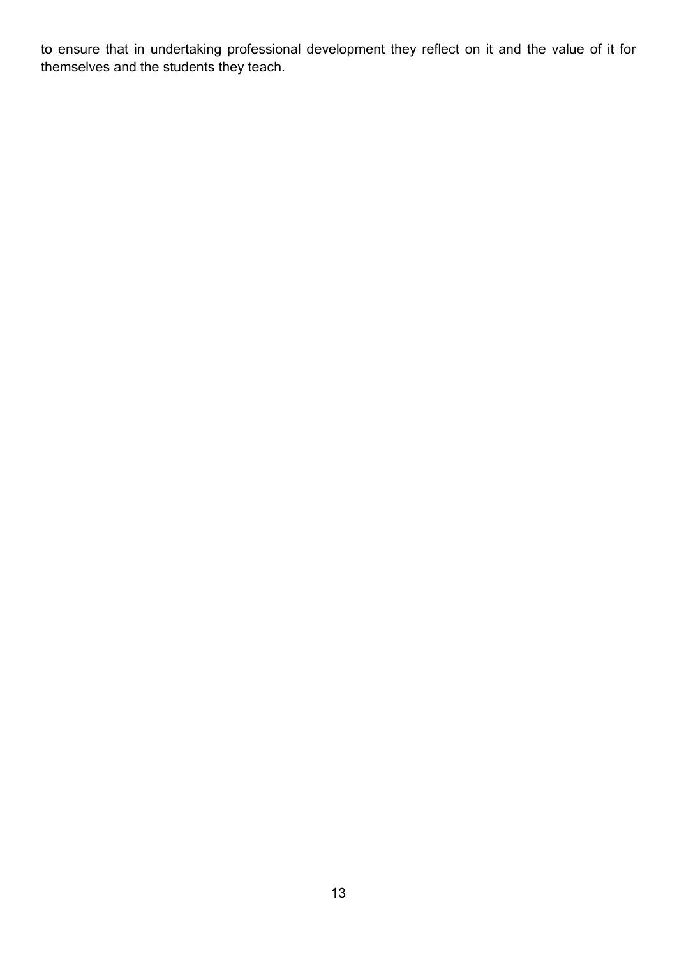to ensure that in undertaking professional development they reflect on it and the value of it for themselves and the students they teach.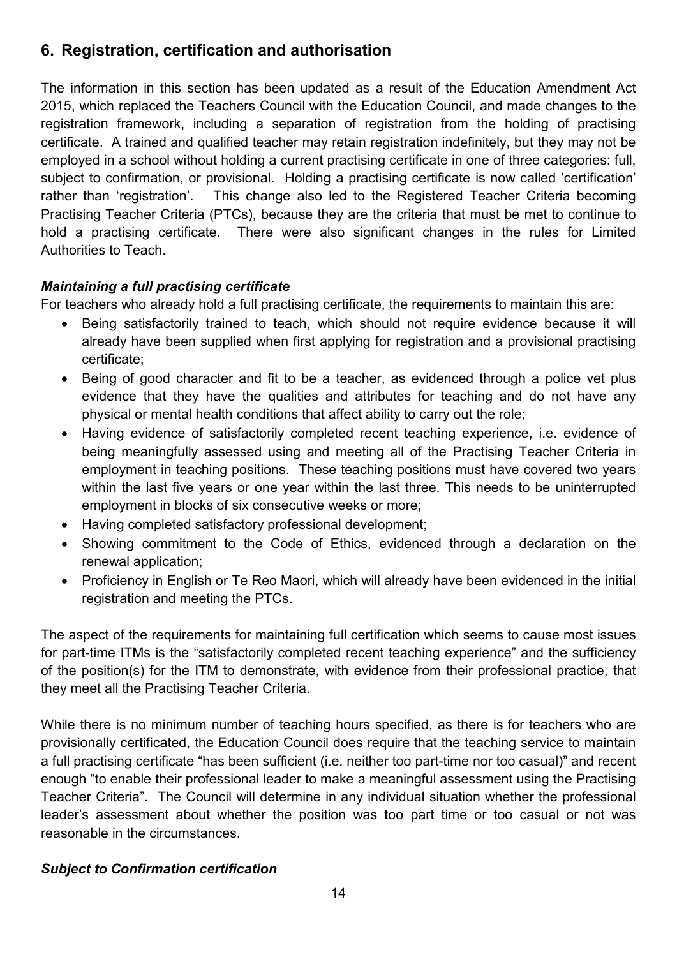### <span id="page-13-0"></span>**6. Registration, certification and authorisation**

The information in this section has been updated as a result of the Education Amendment Act 2015, which replaced the Teachers Council with the Education Council, and made changes to the registration framework, including a separation of registration from the holding of practising certificate. A trained and qualified teacher may retain registration indefinitely, but they may not be employed in a school without holding a current practising certificate in one of three categories: full, subject to confirmation, or provisional. Holding a practising certificate is now called 'certification' rather than 'registration'. This change also led to the Registered Teacher Criteria becoming Practising Teacher Criteria (PTCs), because they are the criteria that must be met to continue to hold a practising certificate. There were also significant changes in the rules for Limited Authorities to Teach.

### <span id="page-13-1"></span>*Maintaining a full practising certificate*

For teachers who already hold a full practising certificate, the requirements to maintain this are:

- Being satisfactorily trained to teach, which should not require evidence because it will already have been supplied when first applying for registration and a provisional practising certificate;
- Being of good character and fit to be a teacher, as evidenced through a police vet plus evidence that they have the qualities and attributes for teaching and do not have any physical or mental health conditions that affect ability to carry out the role;
- Having evidence of satisfactorily completed recent teaching experience, i.e. evidence of being meaningfully assessed using and meeting all of the Practising Teacher Criteria in employment in teaching positions. These teaching positions must have covered two years within the last five years or one year within the last three. This needs to be uninterrupted employment in blocks of six consecutive weeks or more;
- Having completed satisfactory professional development;
- Showing commitment to the Code of Ethics, evidenced through a declaration on the renewal application;
- Proficiency in English or Te Reo Maori, which will already have been evidenced in the initial registration and meeting the PTCs.

The aspect of the requirements for maintaining full certification which seems to cause most issues for part-time ITMs is the "satisfactorily completed recent teaching experience" and the sufficiency of the position(s) for the ITM to demonstrate, with evidence from their professional practice, that they meet all the Practising Teacher Criteria.

While there is no minimum number of teaching hours specified, as there is for teachers who are provisionally certificated, the Education Council does require that the teaching service to maintain a full practising certificate "has been sufficient (i.e. neither too part-time nor too casual)" and recent enough "to enable their professional leader to make a meaningful assessment using the Practising Teacher Criteria". The Council will determine in any individual situation whether the professional leader's assessment about whether the position was too part time or too casual or not was reasonable in the circumstances.

### <span id="page-13-2"></span>*Subject to Confirmation certification*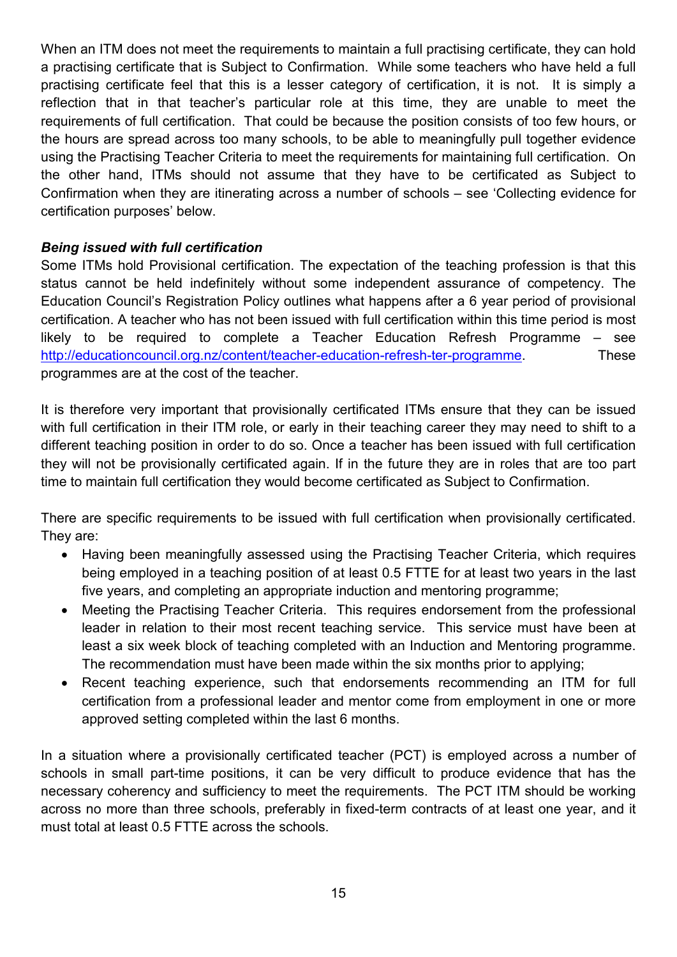When an ITM does not meet the requirements to maintain a full practising certificate, they can hold a practising certificate that is Subject to Confirmation. While some teachers who have held a full practising certificate feel that this is a lesser category of certification, it is not. It is simply a reflection that in that teacher's particular role at this time, they are unable to meet the requirements of full certification. That could be because the position consists of too few hours, or the hours are spread across too many schools, to be able to meaningfully pull together evidence using the Practising Teacher Criteria to meet the requirements for maintaining full certification. On the other hand, ITMs should not assume that they have to be certificated as Subject to Confirmation when they are itinerating across a number of schools – see 'Collecting evidence for certification purposes' below.

### <span id="page-14-0"></span>*Being issued with full certification*

Some ITMs hold Provisional certification. The expectation of the teaching profession is that this status cannot be held indefinitely without some independent assurance of competency. The Education Council's Registration Policy outlines what happens after a 6 year period of provisional certification. A teacher who has not been issued with full certification within this time period is most likely to be required to complete a Teacher Education Refresh Programme – see [http://educationcouncil.org.nz/content/teacher-education-refresh-ter-programme.](http://educationcouncil.org.nz/content/teacher-education-refresh-ter-programme) These programmes are at the cost of the teacher.

It is therefore very important that provisionally certificated ITMs ensure that they can be issued with full certification in their ITM role, or early in their teaching career they may need to shift to a different teaching position in order to do so. Once a teacher has been issued with full certification they will not be provisionally certificated again. If in the future they are in roles that are too part time to maintain full certification they would become certificated as Subject to Confirmation.

There are specific requirements to be issued with full certification when provisionally certificated. They are:

- Having been meaningfully assessed using the Practising Teacher Criteria, which requires being employed in a teaching position of at least 0.5 FTTE for at least two years in the last five years, and completing an appropriate induction and mentoring programme;
- Meeting the Practising Teacher Criteria. This requires endorsement from the professional leader in relation to their most recent teaching service. This service must have been at least a six week block of teaching completed with an Induction and Mentoring programme. The recommendation must have been made within the six months prior to applying;
- Recent teaching experience, such that endorsements recommending an ITM for full certification from a professional leader and mentor come from employment in one or more approved setting completed within the last 6 months.

In a situation where a provisionally certificated teacher (PCT) is employed across a number of schools in small part-time positions, it can be very difficult to produce evidence that has the necessary coherency and sufficiency to meet the requirements. The PCT ITM should be working across no more than three schools, preferably in fixed-term contracts of at least one year, and it must total at least 0.5 FTTE across the schools.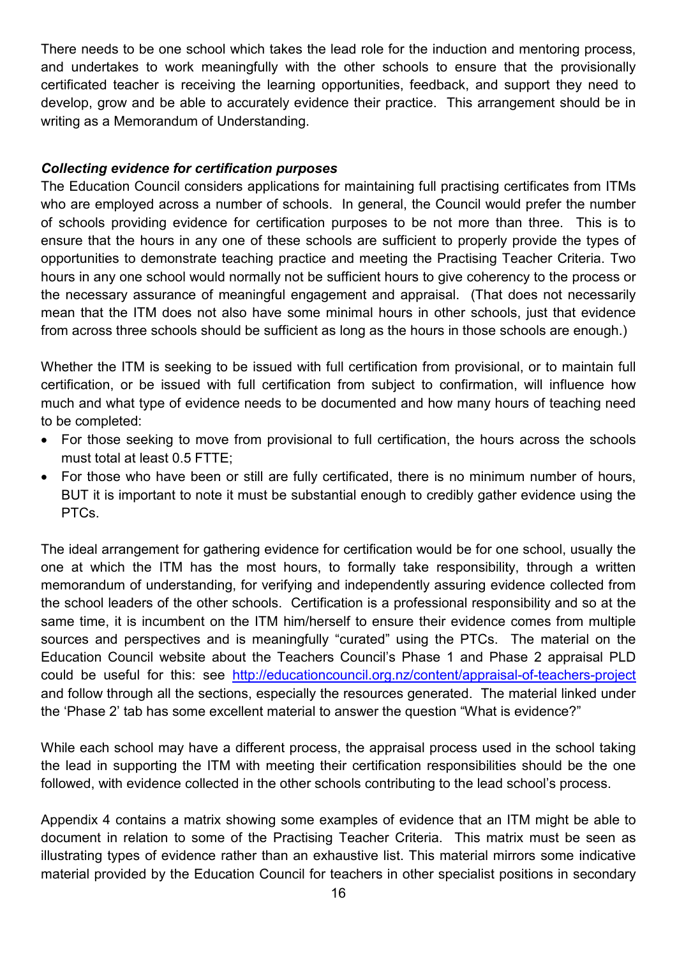There needs to be one school which takes the lead role for the induction and mentoring process, and undertakes to work meaningfully with the other schools to ensure that the provisionally certificated teacher is receiving the learning opportunities, feedback, and support they need to develop, grow and be able to accurately evidence their practice. This arrangement should be in writing as a Memorandum of Understanding.

### <span id="page-15-0"></span>*Collecting evidence for certification purposes*

The Education Council considers applications for maintaining full practising certificates from ITMs who are employed across a number of schools. In general, the Council would prefer the number of schools providing evidence for certification purposes to be not more than three. This is to ensure that the hours in any one of these schools are sufficient to properly provide the types of opportunities to demonstrate teaching practice and meeting the Practising Teacher Criteria. Two hours in any one school would normally not be sufficient hours to give coherency to the process or the necessary assurance of meaningful engagement and appraisal. (That does not necessarily mean that the ITM does not also have some minimal hours in other schools, just that evidence from across three schools should be sufficient as long as the hours in those schools are enough.)

Whether the ITM is seeking to be issued with full certification from provisional, or to maintain full certification, or be issued with full certification from subject to confirmation, will influence how much and what type of evidence needs to be documented and how many hours of teaching need to be completed:

- For those seeking to move from provisional to full certification, the hours across the schools must total at least 0.5 FTTE;
- For those who have been or still are fully certificated, there is no minimum number of hours, BUT it is important to note it must be substantial enough to credibly gather evidence using the PTCs.

The ideal arrangement for gathering evidence for certification would be for one school, usually the one at which the ITM has the most hours, to formally take responsibility, through a written memorandum of understanding, for verifying and independently assuring evidence collected from the school leaders of the other schools. Certification is a professional responsibility and so at the same time, it is incumbent on the ITM him/herself to ensure their evidence comes from multiple sources and perspectives and is meaningfully "curated" using the PTCs. The material on the Education Council website about the Teachers Council's Phase 1 and Phase 2 appraisal PLD could be useful for this: see <http://educationcouncil.org.nz/content/appraisal-of-teachers-project> and follow through all the sections, especially the resources generated. The material linked under the 'Phase 2' tab has some excellent material to answer the question "What is evidence?"

While each school may have a different process, the appraisal process used in the school taking the lead in supporting the ITM with meeting their certification responsibilities should be the one followed, with evidence collected in the other schools contributing to the lead school's process.

Appendix 4 contains a matrix showing some examples of evidence that an ITM might be able to document in relation to some of the Practising Teacher Criteria. This matrix must be seen as illustrating types of evidence rather than an exhaustive list. This material mirrors some indicative material provided by the Education Council for teachers in other specialist positions in secondary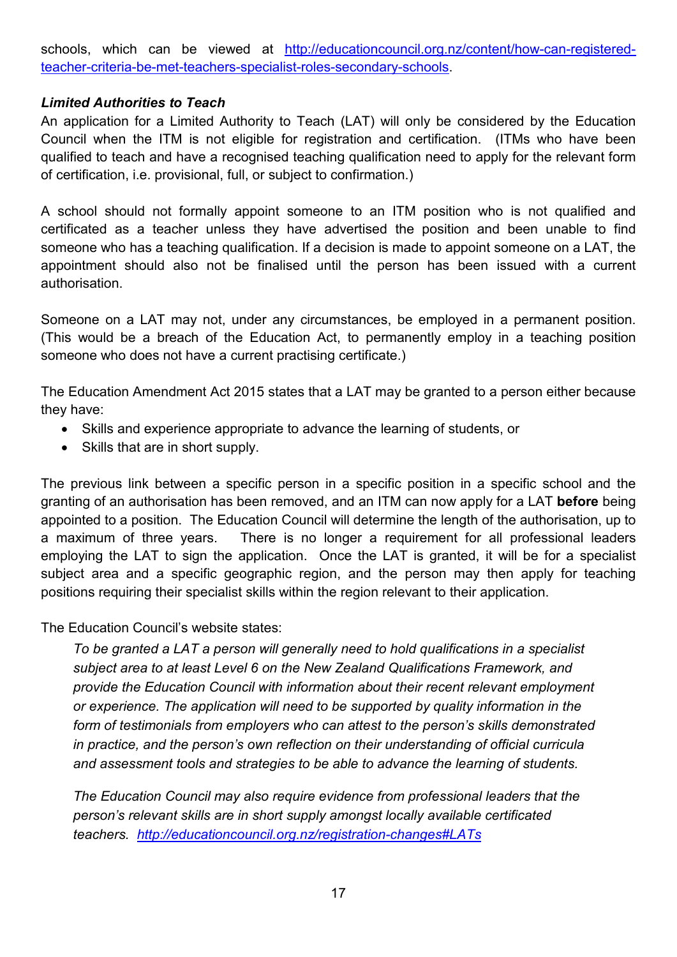schools, which can be viewed at [http://educationcouncil.org.nz/content/how-can-registered](http://educationcouncil.org.nz/content/how-can-registered-teacher-criteria-be-met-teachers-specialist-roles-secondary-schools)[teacher-criteria-be-met-teachers-specialist-roles-secondary-schools.](http://educationcouncil.org.nz/content/how-can-registered-teacher-criteria-be-met-teachers-specialist-roles-secondary-schools)

### <span id="page-16-0"></span>*Limited Authorities to Teach*

An application for a Limited Authority to Teach (LAT) will only be considered by the Education Council when the ITM is not eligible for registration and certification. (ITMs who have been qualified to teach and have a recognised teaching qualification need to apply for the relevant form of certification, i.e. provisional, full, or subject to confirmation.)

A school should not formally appoint someone to an ITM position who is not qualified and certificated as a teacher unless they have advertised the position and been unable to find someone who has a teaching qualification. If a decision is made to appoint someone on a LAT, the appointment should also not be finalised until the person has been issued with a current authorisation.

Someone on a LAT may not, under any circumstances, be employed in a permanent position. (This would be a breach of the Education Act, to permanently employ in a teaching position someone who does not have a current practising certificate.)

The Education Amendment Act 2015 states that a LAT may be granted to a person either because they have:

- Skills and experience appropriate to advance the learning of students, or
- Skills that are in short supply.

The previous link between a specific person in a specific position in a specific school and the granting of an authorisation has been removed, and an ITM can now apply for a LAT **before** being appointed to a position. The Education Council will determine the length of the authorisation, up to a maximum of three years. There is no longer a requirement for all professional leaders employing the LAT to sign the application. Once the LAT is granted, it will be for a specialist subject area and a specific geographic region, and the person may then apply for teaching positions requiring their specialist skills within the region relevant to their application.

The Education Council's website states:

*To be granted a LAT a person will generally need to hold qualifications in a specialist subject area to at least Level 6 on the New Zealand Qualifications Framework, and provide the Education Council with information about their recent relevant employment or experience. The application will need to be supported by quality information in the form of testimonials from employers who can attest to the person's skills demonstrated in practice, and the person's own reflection on their understanding of official curricula and assessment tools and strategies to be able to advance the learning of students.*

*The Education Council may also require evidence from professional leaders that the person's relevant skills are in short supply amongst locally available certificated teachers. <http://educationcouncil.org.nz/registration-changes#LATs>*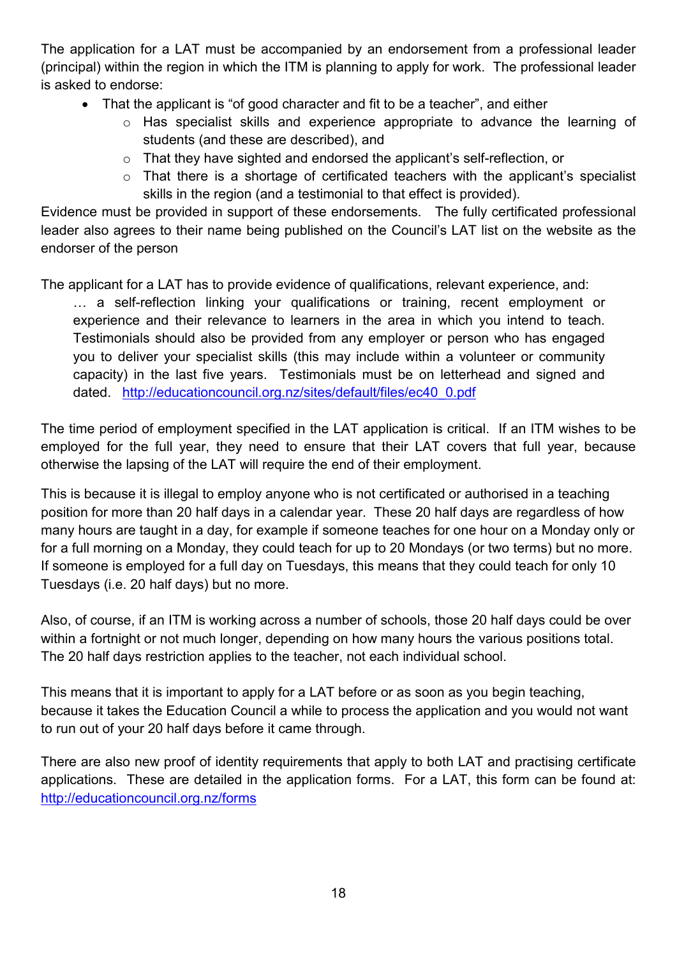The application for a LAT must be accompanied by an endorsement from a professional leader (principal) within the region in which the ITM is planning to apply for work. The professional leader is asked to endorse:

- That the applicant is "of good character and fit to be a teacher", and either
	- o Has specialist skills and experience appropriate to advance the learning of students (and these are described), and
	- o That they have sighted and endorsed the applicant's self-reflection, or
	- o That there is a shortage of certificated teachers with the applicant's specialist skills in the region (and a testimonial to that effect is provided).

Evidence must be provided in support of these endorsements. The fully certificated professional leader also agrees to their name being published on the Council's LAT list on the website as the endorser of the person

The applicant for a LAT has to provide evidence of qualifications, relevant experience, and:

… a self-reflection linking your qualifications or training, recent employment or experience and their relevance to learners in the area in which you intend to teach. Testimonials should also be provided from any employer or person who has engaged you to deliver your specialist skills (this may include within a volunteer or community capacity) in the last five years. Testimonials must be on letterhead and signed and dated. [http://educationcouncil.org.nz/sites/default/files/ec40\\_0.pdf](http://educationcouncil.org.nz/sites/default/files/ec40_0.pdf)

The time period of employment specified in the LAT application is critical. If an ITM wishes to be employed for the full year, they need to ensure that their LAT covers that full year, because otherwise the lapsing of the LAT will require the end of their employment.

This is because it is illegal to employ anyone who is not certificated or authorised in a teaching position for more than 20 half days in a calendar year. These 20 half days are regardless of how many hours are taught in a day, for example if someone teaches for one hour on a Monday only or for a full morning on a Monday, they could teach for up to 20 Mondays (or two terms) but no more. If someone is employed for a full day on Tuesdays, this means that they could teach for only 10 Tuesdays (i.e. 20 half days) but no more.

Also, of course, if an ITM is working across a number of schools, those 20 half days could be over within a fortnight or not much longer, depending on how many hours the various positions total. The 20 half days restriction applies to the teacher, not each individual school.

This means that it is important to apply for a LAT before or as soon as you begin teaching, because it takes the Education Council a while to process the application and you would not want to run out of your 20 half days before it came through.

There are also new proof of identity requirements that apply to both LAT and practising certificate applications. These are detailed in the application forms. For a LAT, this form can be found at: <http://educationcouncil.org.nz/forms>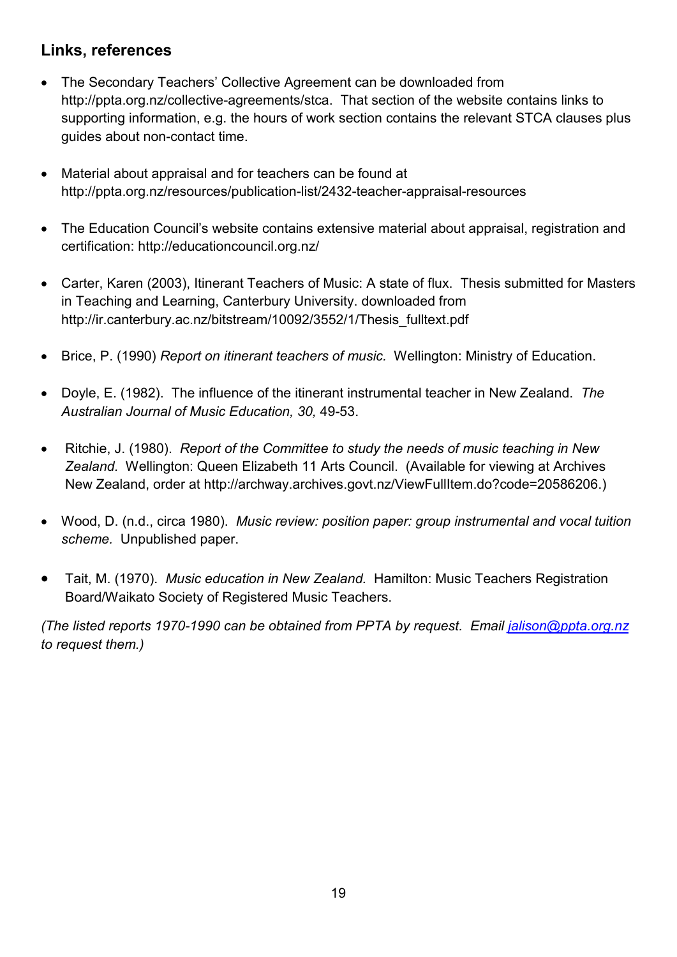### <span id="page-18-0"></span>**Links, references**

- The Secondary Teachers' Collective Agreement can be downloaded from [http://ppta.org.nz/collective-agreements/stca.](http://ppta.org.nz/collective-agreements/stca) That section of the website contains links to supporting information, e.g. the hours of work section contains the relevant STCA clauses plus guides about non-contact time.
- Material about appraisal and for teachers can be found at <http://ppta.org.nz/resources/publication-list/2432-teacher-appraisal-resources>
- The Education Council's website contains extensive material about appraisal, registration and certification: http://educationcouncil.org.nz/
- Carter, Karen (2003), Itinerant Teachers of Music: A state of flux. Thesis submitted for Masters in Teaching and Learning, Canterbury University. downloaded from [http://ir.canterbury.ac.nz/bitstream/10092/3552/1/Thesis\\_fulltext.pdf](http://ir.canterbury.ac.nz/bitstream/10092/3552/1/Thesis_fulltext.pdf)
- Brice, P. (1990) *Report on itinerant teachers of music.* Wellington: Ministry of Education.
- Doyle, E. (1982). The influence of the itinerant instrumental teacher in New Zealand. *The Australian Journal of Music Education, 30,* 49-53.
- Ritchie, J. (1980). *Report of the Committee to study the needs of music teaching in New Zealand.* Wellington: Queen Elizabeth 11 Arts Council. (Available for viewing at Archives New Zealand, order at http://archway.archives.govt.nz/ViewFullItem.do?code=20586206.)
- Wood, D. (n.d., circa 1980). *Music review: position paper: group instrumental and vocal tuition scheme.* Unpublished paper.
- Tait, M. (1970). *Music education in New Zealand.* Hamilton: Music Teachers Registration Board/Waikato Society of Registered Music Teachers.

*(The listed reports 1970-1990 can be obtained from PPTA by request. Email [jalison@ppta.org.nz](mailto:jalison@ppta.org.nz) to request them.)*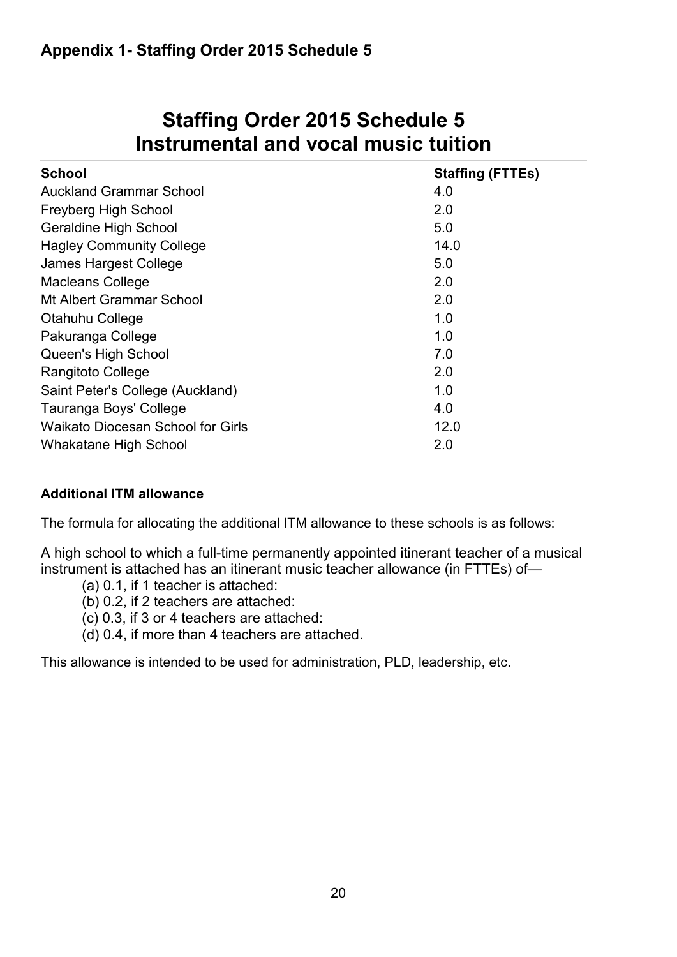## <span id="page-19-0"></span>**Staffing Order 2015 Schedule 5 Instrumental and vocal music tuition**

<span id="page-19-1"></span>

| <b>School</b>                            | <b>Staffing (FTTEs)</b> |
|------------------------------------------|-------------------------|
| <b>Auckland Grammar School</b>           | 4.0                     |
| Freyberg High School                     | 2.0                     |
| <b>Geraldine High School</b>             | 5.0                     |
| <b>Hagley Community College</b>          | 14.0                    |
| James Hargest College                    | 5.0                     |
| <b>Macleans College</b>                  | 2.0                     |
| Mt Albert Grammar School                 | 2.0                     |
| Otahuhu College                          | 1.0                     |
| Pakuranga College                        | 1.0                     |
| Queen's High School                      | 7.0                     |
| <b>Rangitoto College</b>                 | 2.0                     |
| Saint Peter's College (Auckland)         | 1.0                     |
| Tauranga Boys' College                   | 4.0                     |
| <b>Waikato Diocesan School for Girls</b> | 12.0                    |
| Whakatane High School                    | 2.0                     |

### **Additional ITM allowance**

The formula for allocating the additional ITM allowance to these schools is as follows:

A high school to which a full-time permanently appointed itinerant teacher of a musical instrument is attached has an itinerant music teacher allowance (in FTTEs) of—

- (a) 0.1, if 1 teacher is attached:
- (b) 0.2, if 2 teachers are attached:
- (c) 0.3, if 3 or 4 teachers are attached:
- (d) 0.4, if more than 4 teachers are attached.

This allowance is intended to be used for administration, PLD, leadership, etc.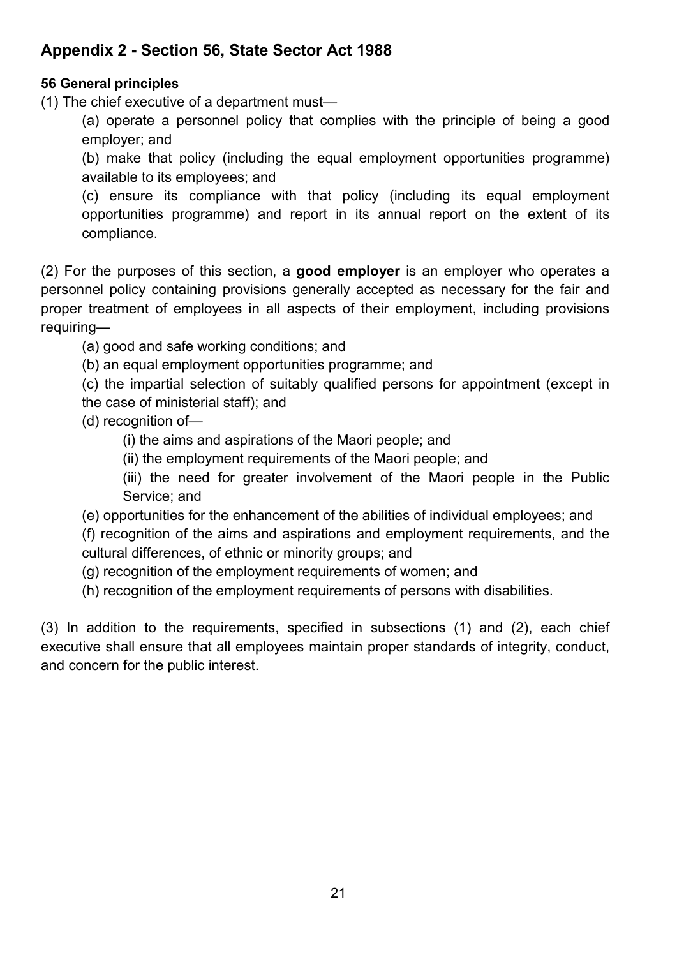### <span id="page-20-0"></span>**Appendix 2 - Section 56, State Sector Act 1988**

### **56 General principles**

(1) The chief executive of a department must—

(a) operate a personnel policy that complies with the principle of being a good employer; and

(b) make that policy (including the equal employment opportunities programme) available to its employees; and

(c) ensure its compliance with that policy (including its equal employment opportunities programme) and report in its annual report on the extent of its compliance.

(2) For the purposes of this section, a **good employer** is an employer who operates a personnel policy containing provisions generally accepted as necessary for the fair and proper treatment of employees in all aspects of their employment, including provisions requiring—

- (a) good and safe working conditions; and
- (b) an equal employment opportunities programme; and

(c) the impartial selection of suitably qualified persons for appointment (except in the case of ministerial staff); and

(d) recognition of—

- (i) the aims and aspirations of the Maori people; and
- (ii) the employment requirements of the Maori people; and
- (iii) the need for greater involvement of the Maori people in the Public Service; and
- (e) opportunities for the enhancement of the abilities of individual employees; and

(f) recognition of the aims and aspirations and employment requirements, and the cultural differences, of ethnic or minority groups; and

- (g) recognition of the employment requirements of women; and
- (h) recognition of the employment requirements of persons with disabilities.

(3) In addition to the requirements, specified in subsections (1) and (2), each chief executive shall ensure that all employees maintain proper standards of integrity, conduct, and concern for the public interest.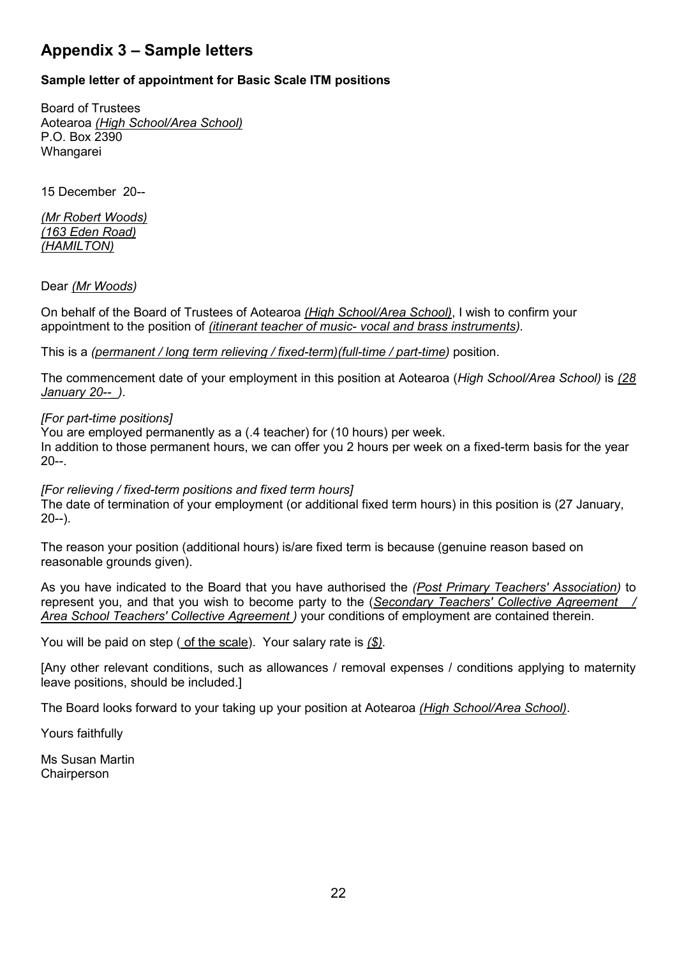### <span id="page-21-0"></span>**Appendix 3 – Sample letters**

#### **Sample letter of appointment for Basic Scale ITM positions**

Board of Trustees Aotearoa *(High School/Area School)* P.O. Box 2390 **Whangarei** 

15 December 20--

*(Mr Robert Woods) (163 Eden Road) (HAMILTON)*

Dear *(Mr Woods)*

On behalf of the Board of Trustees of Aotearoa *(High School/Area School)*, I wish to confirm your appointment to the position of *(itinerant teacher of music- vocal and brass instruments).*

This is a *(permanent / long term relieving / fixed-term)(full-time / part-time)* position.

The commencement date of your employment in this position at Aotearoa (*High School/Area School)* is *(28 January 20--\_).*

#### *[For part-time positions]*

You are employed permanently as a (.4 teacher) for (10 hours) per week. In addition to those permanent hours, we can offer you 2 hours per week on a fixed-term basis for the year  $20 - 1$ 

*[For relieving / fixed-term positions and fixed term hours]*

The date of termination of your employment (or additional fixed term hours) in this position is (27 January, 20--).

The reason your position (additional hours) is/are fixed term is because (genuine reason based on reasonable grounds given).

As you have indicated to the Board that you have authorised the *(Post Primary Teachers' Association)* to represent you, and that you wish to become party to the (*Secondary Teachers' Collective Agreement / Area School Teachers' Collective Agreement )* your conditions of employment are contained therein.

You will be paid on step ( of the scale). Your salary rate is *(\$).* 

[Any other relevant conditions, such as allowances / removal expenses / conditions applying to maternity leave positions, should be included.]

The Board looks forward to your taking up your position at Aotearoa *(High School/Area School)*.

Yours faithfully

Ms Susan Martin **Chairperson**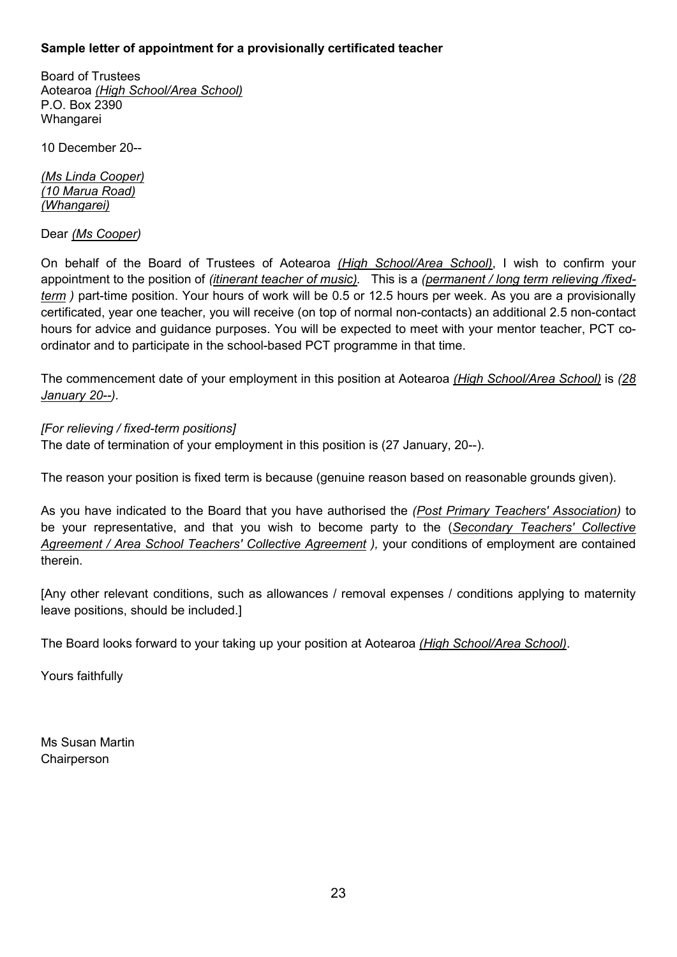#### **Sample letter of appointment for a provisionally certificated teacher**

Board of Trustees Aotearoa *(High School/Area School)* P.O. Box 2390 **Whangarei** 

10 December 20--

*(Ms Linda Cooper) (10 Marua Road) (Whangarei)*

Dear *(Ms Cooper)* 

On behalf of the Board of Trustees of Aotearoa *(High School/Area School)*, I wish to confirm your appointment to the position of *(itinerant teacher of music).* This is a *(permanent / long term relieving /fixedterm )* part-time position. Your hours of work will be 0.5 or 12.5 hours per week. As you are a provisionally certificated, year one teacher, you will receive (on top of normal non-contacts) an additional 2.5 non-contact hours for advice and guidance purposes. You will be expected to meet with your mentor teacher, PCT coordinator and to participate in the school-based PCT programme in that time.

The commencement date of your employment in this position at Aotearoa *(High School/Area School)* is *(28 January 20--).*

#### *[For relieving / fixed-term positions]*

The date of termination of your employment in this position is (27 January, 20--).

The reason your position is fixed term is because (genuine reason based on reasonable grounds given).

As you have indicated to the Board that you have authorised the *(Post Primary Teachers' Association)* to be your representative, and that you wish to become party to the (*Secondary Teachers' Collective*  Agreement / Area School Teachers' Collective Agreement ), your conditions of employment are contained therein.

[Any other relevant conditions, such as allowances / removal expenses / conditions applying to maternity leave positions, should be included.]

The Board looks forward to your taking up your position at Aotearoa *(High School/Area School)*.

Yours faithfully

Ms Susan Martin **Chairperson**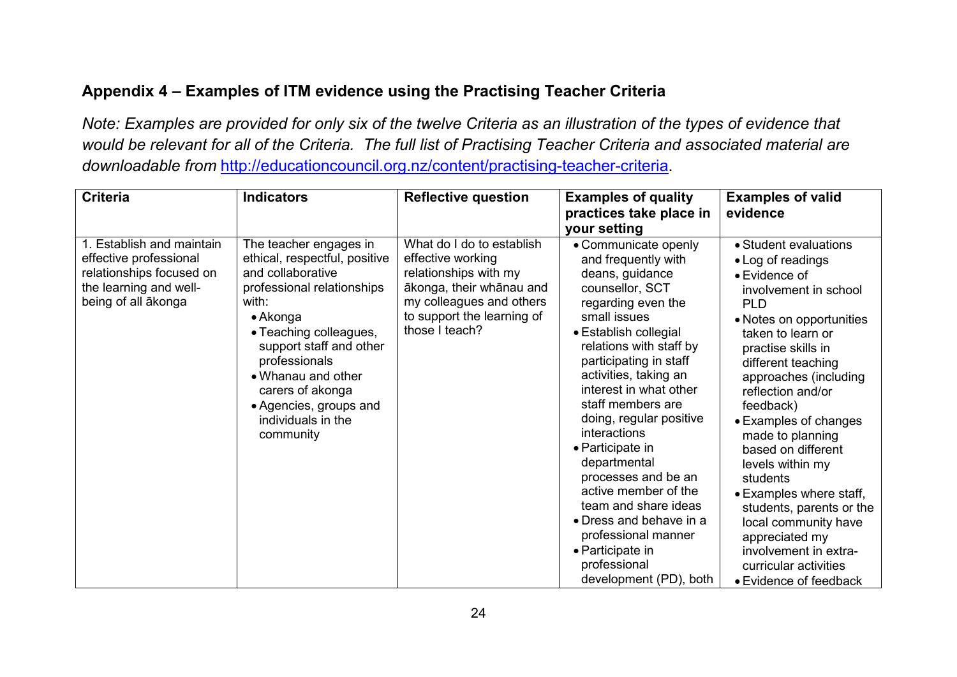### **Appendix 4 – Examples of ITM evidence using the Practising Teacher Criteria**

*Note: Examples are provided for only six of the twelve Criteria as an illustration of the types of evidence that would be relevant for all of the Criteria. The full list of Practising Teacher Criteria and associated material are downloadable from* [http://educationcouncil.org.nz/content/practising-teacher-criteria.](http://educationcouncil.org.nz/content/practising-teacher-criteria)

<span id="page-23-0"></span>

| <b>Criteria</b>                                                                                                                  | <b>Indicators</b>                                                                                                                                                                                                                                                                                                    | <b>Reflective question</b>                                                                                                                                                      | <b>Examples of quality</b><br>practices take place in<br>your setting                                                                                                                                                                                                                                                                                                                                                                                                                                                                               | <b>Examples of valid</b><br>evidence                                                                                                                                                                                                                                                                                                                                                                                                                                                                                                       |
|----------------------------------------------------------------------------------------------------------------------------------|----------------------------------------------------------------------------------------------------------------------------------------------------------------------------------------------------------------------------------------------------------------------------------------------------------------------|---------------------------------------------------------------------------------------------------------------------------------------------------------------------------------|-----------------------------------------------------------------------------------------------------------------------------------------------------------------------------------------------------------------------------------------------------------------------------------------------------------------------------------------------------------------------------------------------------------------------------------------------------------------------------------------------------------------------------------------------------|--------------------------------------------------------------------------------------------------------------------------------------------------------------------------------------------------------------------------------------------------------------------------------------------------------------------------------------------------------------------------------------------------------------------------------------------------------------------------------------------------------------------------------------------|
| 1. Establish and maintain<br>effective professional<br>relationships focused on<br>the learning and well-<br>being of all ākonga | The teacher engages in<br>ethical, respectful, positive<br>and collaborative<br>professional relationships<br>with:<br>$\bullet$ Akonga<br>• Teaching colleagues,<br>support staff and other<br>professionals<br>• Whanau and other<br>carers of akonga<br>• Agencies, groups and<br>individuals in the<br>community | What do I do to establish<br>effective working<br>relationships with my<br>ākonga, their whānau and<br>my colleagues and others<br>to support the learning of<br>those I teach? | • Communicate openly<br>and frequently with<br>deans, guidance<br>counsellor, SCT<br>regarding even the<br>small issues<br>• Establish collegial<br>relations with staff by<br>participating in staff<br>activities, taking an<br>interest in what other<br>staff members are<br>doing, regular positive<br>interactions<br>• Participate in<br>departmental<br>processes and be an<br>active member of the<br>team and share ideas<br>• Dress and behave in a<br>professional manner<br>• Participate in<br>professional<br>development (PD), both | • Student evaluations<br>• Log of readings<br>• Evidence of<br>involvement in school<br><b>PLD</b><br>• Notes on opportunities<br>taken to learn or<br>practise skills in<br>different teaching<br>approaches (including<br>reflection and/or<br>feedback)<br>• Examples of changes<br>made to planning<br>based on different<br>levels within my<br>students<br>• Examples where staff,<br>students, parents or the<br>local community have<br>appreciated my<br>involvement in extra-<br>curricular activities<br>• Evidence of feedback |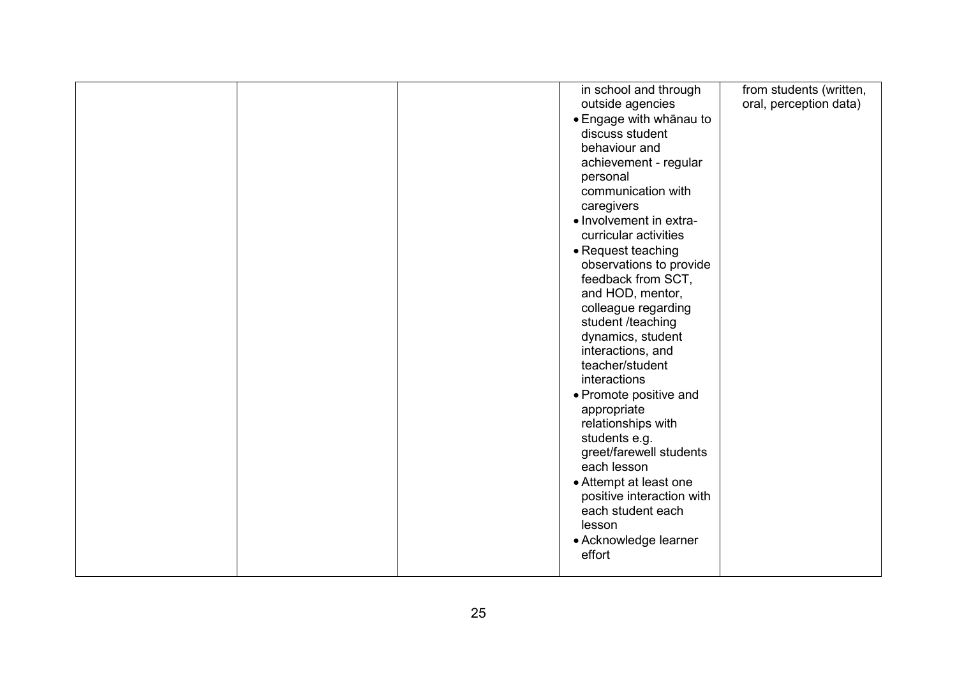|  | in school and through     | from students (written, |
|--|---------------------------|-------------------------|
|  | outside agencies          | oral, perception data)  |
|  | • Engage with whānau to   |                         |
|  | discuss student           |                         |
|  | behaviour and             |                         |
|  | achievement - regular     |                         |
|  | personal                  |                         |
|  | communication with        |                         |
|  | caregivers                |                         |
|  | • Involvement in extra-   |                         |
|  | curricular activities     |                         |
|  | • Request teaching        |                         |
|  | observations to provide   |                         |
|  | feedback from SCT,        |                         |
|  | and HOD, mentor,          |                         |
|  | colleague regarding       |                         |
|  | student /teaching         |                         |
|  | dynamics, student         |                         |
|  | interactions, and         |                         |
|  | teacher/student           |                         |
|  | interactions              |                         |
|  | • Promote positive and    |                         |
|  |                           |                         |
|  | appropriate               |                         |
|  | relationships with        |                         |
|  | students e.g.             |                         |
|  | greet/farewell students   |                         |
|  | each lesson               |                         |
|  | • Attempt at least one    |                         |
|  | positive interaction with |                         |
|  | each student each         |                         |
|  | lesson                    |                         |
|  | • Acknowledge learner     |                         |
|  | effort                    |                         |
|  |                           |                         |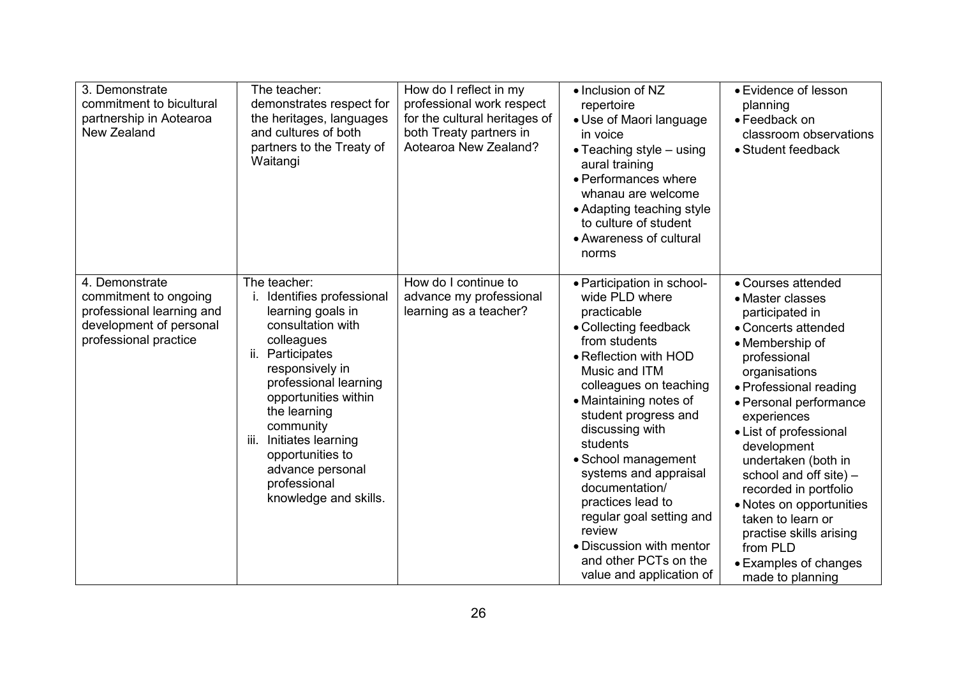| 3. Demonstrate<br>commitment to bicultural<br>partnership in Aotearoa<br>New Zealand                                     | The teacher:<br>demonstrates respect for<br>the heritages, languages<br>and cultures of both<br>partners to the Treaty of<br>Waitangi                                                                                                                                                                                                  | How do I reflect in my<br>professional work respect<br>for the cultural heritages of<br>both Treaty partners in<br>Aotearoa New Zealand? | • Inclusion of NZ<br>repertoire<br>• Use of Maori language<br>in voice<br>$\bullet$ Teaching style – using<br>aural training<br>• Performances where<br>whanau are welcome<br>• Adapting teaching style<br>to culture of student<br>• Awareness of cultural<br>norms                                                                                                                                                                                                     | • Evidence of lesson<br>planning<br>• Feedback on<br>classroom observations<br>• Student feedback                                                                                                                                                                                                                                                                                                                                                               |
|--------------------------------------------------------------------------------------------------------------------------|----------------------------------------------------------------------------------------------------------------------------------------------------------------------------------------------------------------------------------------------------------------------------------------------------------------------------------------|------------------------------------------------------------------------------------------------------------------------------------------|--------------------------------------------------------------------------------------------------------------------------------------------------------------------------------------------------------------------------------------------------------------------------------------------------------------------------------------------------------------------------------------------------------------------------------------------------------------------------|-----------------------------------------------------------------------------------------------------------------------------------------------------------------------------------------------------------------------------------------------------------------------------------------------------------------------------------------------------------------------------------------------------------------------------------------------------------------|
| 4. Demonstrate<br>commitment to ongoing<br>professional learning and<br>development of personal<br>professional practice | The teacher:<br>Identifies professional<br>learning goals in<br>consultation with<br>colleagues<br>Participates<br>ii.<br>responsively in<br>professional learning<br>opportunities within<br>the learning<br>community<br>Initiates learning<br>iii.<br>opportunities to<br>advance personal<br>professional<br>knowledge and skills. | How do I continue to<br>advance my professional<br>learning as a teacher?                                                                | • Participation in school-<br>wide PLD where<br>practicable<br>• Collecting feedback<br>from students<br>• Reflection with HOD<br>Music and ITM<br>colleagues on teaching<br>• Maintaining notes of<br>student progress and<br>discussing with<br>students<br>• School management<br>systems and appraisal<br>documentation/<br>practices lead to<br>regular goal setting and<br>review<br>• Discussion with mentor<br>and other PCTs on the<br>value and application of | • Courses attended<br>• Master classes<br>participated in<br>• Concerts attended<br>• Membership of<br>professional<br>organisations<br>• Professional reading<br>· Personal performance<br>experiences<br>• List of professional<br>development<br>undertaken (both in<br>school and off site) -<br>recorded in portfolio<br>• Notes on opportunities<br>taken to learn or<br>practise skills arising<br>from PLD<br>• Examples of changes<br>made to planning |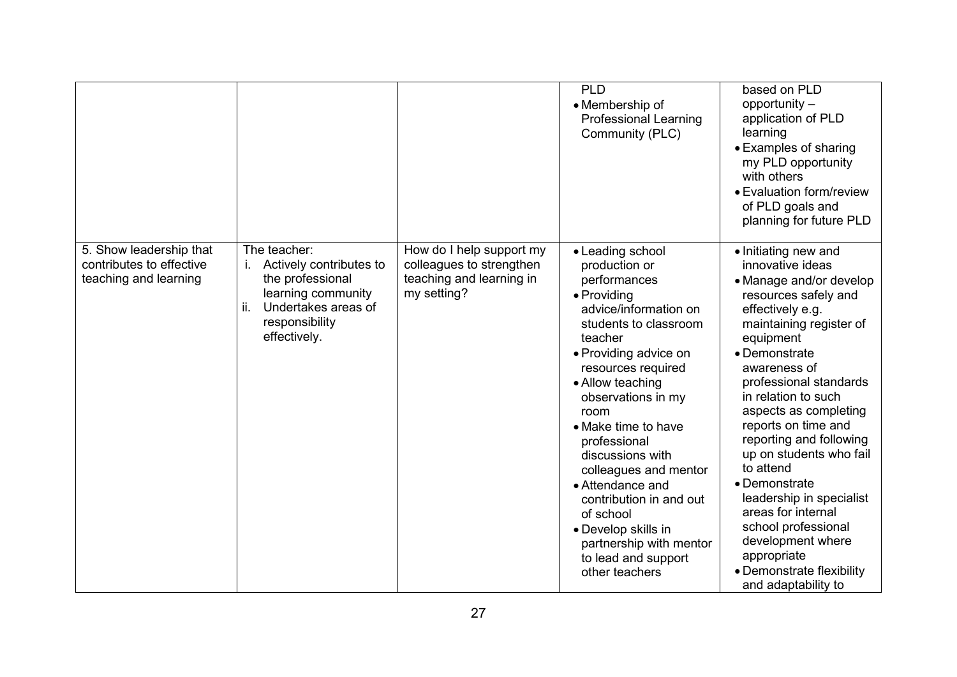|                                                                              |                                                                                                                                                         |                                                                                                 | <b>PLD</b><br>• Membership of<br><b>Professional Learning</b><br>Community (PLC)                                                                                                                                                                                                                                                                                                                                                                                          | based on PLD<br>opportunity $-$<br>application of PLD<br>learning<br>• Examples of sharing<br>my PLD opportunity<br>with others<br>• Evaluation form/review<br>of PLD goals and<br>planning for future PLD                                                                                                                                                                                                                                                                                                                                     |
|------------------------------------------------------------------------------|---------------------------------------------------------------------------------------------------------------------------------------------------------|-------------------------------------------------------------------------------------------------|---------------------------------------------------------------------------------------------------------------------------------------------------------------------------------------------------------------------------------------------------------------------------------------------------------------------------------------------------------------------------------------------------------------------------------------------------------------------------|------------------------------------------------------------------------------------------------------------------------------------------------------------------------------------------------------------------------------------------------------------------------------------------------------------------------------------------------------------------------------------------------------------------------------------------------------------------------------------------------------------------------------------------------|
| 5. Show leadership that<br>contributes to effective<br>teaching and learning | The teacher:<br>j.<br>Actively contributes to<br>the professional<br>learning community<br>Undertakes areas of<br>ii.<br>responsibility<br>effectively. | How do I help support my<br>colleagues to strengthen<br>teaching and learning in<br>my setting? | • Leading school<br>production or<br>performances<br>• Providing<br>advice/information on<br>students to classroom<br>teacher<br>• Providing advice on<br>resources required<br>• Allow teaching<br>observations in my<br>room<br>• Make time to have<br>professional<br>discussions with<br>colleagues and mentor<br>• Attendance and<br>contribution in and out<br>of school<br>• Develop skills in<br>partnership with mentor<br>to lead and support<br>other teachers | • Initiating new and<br>innovative ideas<br>• Manage and/or develop<br>resources safely and<br>effectively e.g.<br>maintaining register of<br>equipment<br>• Demonstrate<br>awareness of<br>professional standards<br>in relation to such<br>aspects as completing<br>reports on time and<br>reporting and following<br>up on students who fail<br>to attend<br>• Demonstrate<br>leadership in specialist<br>areas for internal<br>school professional<br>development where<br>appropriate<br>• Demonstrate flexibility<br>and adaptability to |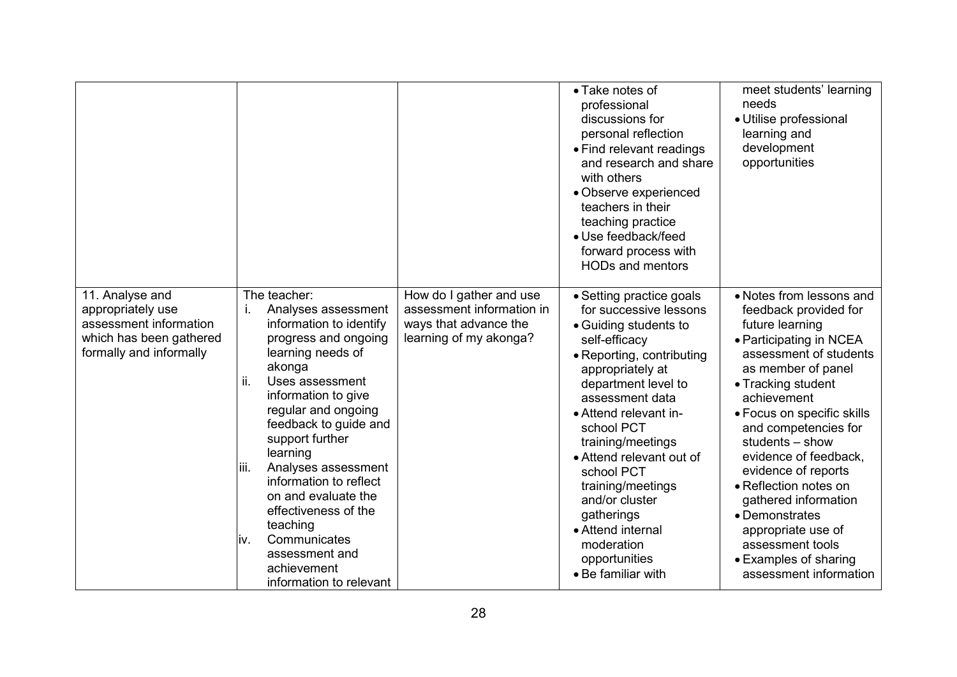|                                                                                                                      |                                                                                                                                                                                                                                                                                                                                                                                                                                                                    |                                                                                                         | • Take notes of<br>professional<br>discussions for<br>personal reflection<br>• Find relevant readings<br>and research and share<br>with others<br>• Observe experienced<br>teachers in their<br>teaching practice<br>• Use feedback/feed<br>forward process with<br><b>HODs and mentors</b>                                                                                                                                  | meet students' learning<br>needs<br>· Utilise professional<br>learning and<br>development<br>opportunities                                                                                                                                                                                                                                                                                                                                                                      |
|----------------------------------------------------------------------------------------------------------------------|--------------------------------------------------------------------------------------------------------------------------------------------------------------------------------------------------------------------------------------------------------------------------------------------------------------------------------------------------------------------------------------------------------------------------------------------------------------------|---------------------------------------------------------------------------------------------------------|------------------------------------------------------------------------------------------------------------------------------------------------------------------------------------------------------------------------------------------------------------------------------------------------------------------------------------------------------------------------------------------------------------------------------|---------------------------------------------------------------------------------------------------------------------------------------------------------------------------------------------------------------------------------------------------------------------------------------------------------------------------------------------------------------------------------------------------------------------------------------------------------------------------------|
| 11. Analyse and<br>appropriately use<br>assessment information<br>which has been gathered<br>formally and informally | The teacher:<br>i.<br>Analyses assessment<br>information to identify<br>progress and ongoing<br>learning needs of<br>akonga<br>ii.<br>Uses assessment<br>information to give<br>regular and ongoing<br>feedback to guide and<br>support further<br>learning<br>iii.<br>Analyses assessment<br>information to reflect<br>on and evaluate the<br>effectiveness of the<br>teaching<br>Communicates<br>İ٧.<br>assessment and<br>achievement<br>information to relevant | How do I gather and use<br>assessment information in<br>ways that advance the<br>learning of my akonga? | • Setting practice goals<br>for successive lessons<br>• Guiding students to<br>self-efficacy<br>• Reporting, contributing<br>appropriately at<br>department level to<br>assessment data<br>• Attend relevant in-<br>school PCT<br>training/meetings<br>• Attend relevant out of<br>school PCT<br>training/meetings<br>and/or cluster<br>gatherings<br>• Attend internal<br>moderation<br>opportunities<br>• Be familiar with | • Notes from lessons and<br>feedback provided for<br>future learning<br>• Participating in NCEA<br>assessment of students<br>as member of panel<br>• Tracking student<br>achievement<br>• Focus on specific skills<br>and competencies for<br>students $-$ show<br>evidence of feedback,<br>evidence of reports<br>• Reflection notes on<br>gathered information<br>• Demonstrates<br>appropriate use of<br>assessment tools<br>• Examples of sharing<br>assessment information |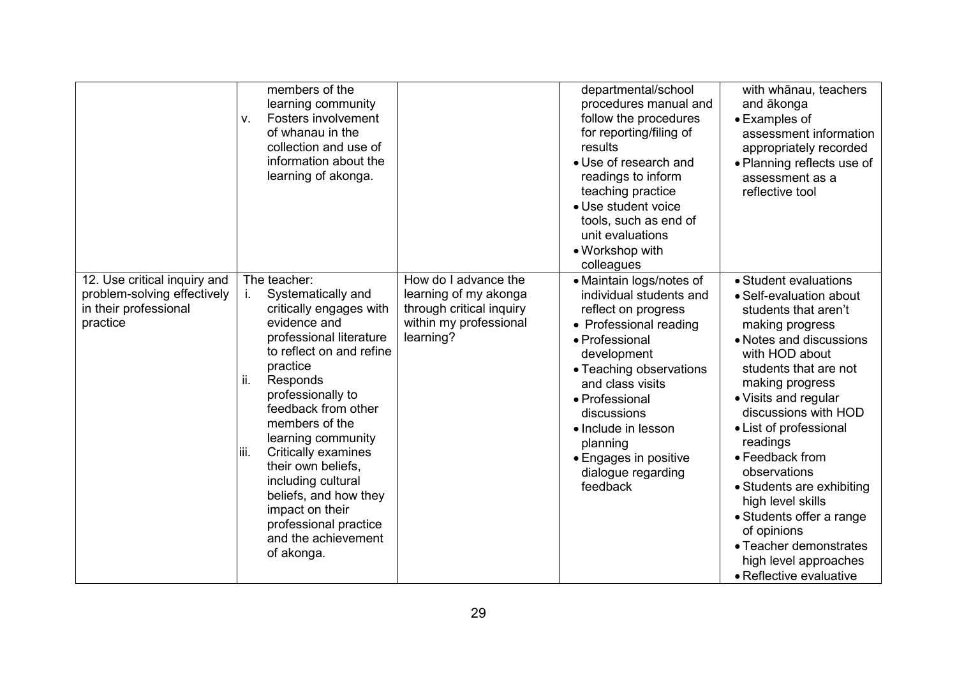|                                                                                                  | members of the<br>learning community<br>Fosters involvement<br>$V_{\odot}$<br>of whanau in the<br>collection and use of<br>information about the<br>learning of akonga.                                                                                                                                                                                                                                                                                    |                                                                                                                  | departmental/school<br>procedures manual and<br>follow the procedures<br>for reporting/filing of<br>results<br>• Use of research and<br>readings to inform<br>teaching practice<br>• Use student voice<br>tools, such as end of<br>unit evaluations<br>• Workshop with<br>colleagues                                | with whānau, teachers<br>and ākonga<br>• Examples of<br>assessment information<br>appropriately recorded<br>· Planning reflects use of<br>assessment as a<br>reflective tool                                                                                                                                                                                                                                                                                                             |
|--------------------------------------------------------------------------------------------------|------------------------------------------------------------------------------------------------------------------------------------------------------------------------------------------------------------------------------------------------------------------------------------------------------------------------------------------------------------------------------------------------------------------------------------------------------------|------------------------------------------------------------------------------------------------------------------|---------------------------------------------------------------------------------------------------------------------------------------------------------------------------------------------------------------------------------------------------------------------------------------------------------------------|------------------------------------------------------------------------------------------------------------------------------------------------------------------------------------------------------------------------------------------------------------------------------------------------------------------------------------------------------------------------------------------------------------------------------------------------------------------------------------------|
| 12. Use critical inquiry and<br>problem-solving effectively<br>in their professional<br>practice | The teacher:<br>Systematically and<br>i.<br>critically engages with<br>evidence and<br>professional literature<br>to reflect on and refine<br>practice<br>ii.<br>Responds<br>professionally to<br>feedback from other<br>members of the<br>learning community<br>liii.<br><b>Critically examines</b><br>their own beliefs.<br>including cultural<br>beliefs, and how they<br>impact on their<br>professional practice<br>and the achievement<br>of akonga. | How do I advance the<br>learning of my akonga<br>through critical inquiry<br>within my professional<br>learning? | • Maintain logs/notes of<br>individual students and<br>reflect on progress<br>• Professional reading<br>• Professional<br>development<br>• Teaching observations<br>and class visits<br>• Professional<br>discussions<br>• Include in lesson<br>planning<br>• Engages in positive<br>dialogue regarding<br>feedback | • Student evaluations<br>• Self-evaluation about<br>students that aren't<br>making progress<br>• Notes and discussions<br>with HOD about<br>students that are not<br>making progress<br>• Visits and regular<br>discussions with HOD<br>• List of professional<br>readings<br>• Feedback from<br>observations<br>• Students are exhibiting<br>high level skills<br>• Students offer a range<br>of opinions<br>• Teacher demonstrates<br>high level approaches<br>• Reflective evaluative |